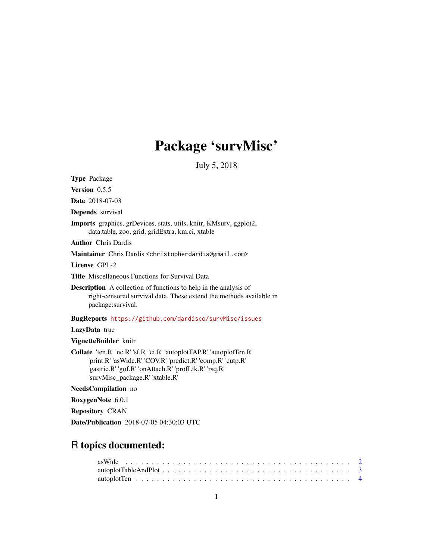# Package 'survMisc'

July 5, 2018

<span id="page-0-0"></span>Type Package Version 0.5.5 Date 2018-07-03 Depends survival Imports graphics, grDevices, stats, utils, knitr, KMsurv, ggplot2, data.table, zoo, grid, gridExtra, km.ci, xtable Author Chris Dardis Maintainer Chris Dardis <christopherdardis@gmail.com> License GPL-2 Title Miscellaneous Functions for Survival Data Description A collection of functions to help in the analysis of right-censored survival data. These extend the methods available in package:survival. BugReports <https://github.com/dardisco/survMisc/issues> LazyData true VignetteBuilder knitr Collate 'ten.R' 'nc.R' 'sf.R' 'ci.R' 'autoplotTAP.R' 'autoplotTen.R' 'print.R' 'asWide.R' 'COV.R' 'predict.R' 'comp.R' 'cutp.R' 'gastric.R' 'gof.R' 'onAttach.R' 'profLik.R' 'rsq.R' 'survMisc\_package.R' 'xtable.R' NeedsCompilation no RoxygenNote 6.0.1 Repository CRAN Date/Publication 2018-07-05 04:30:03 UTC

# R topics documented: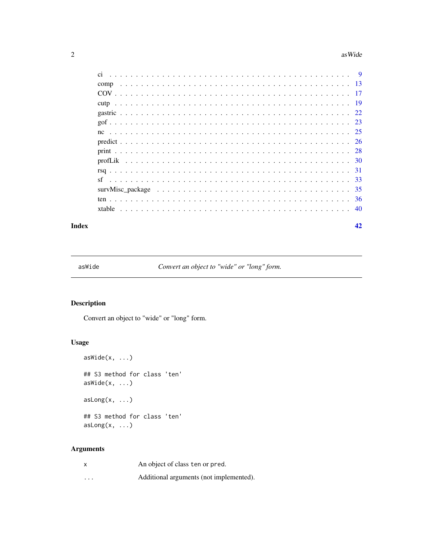#### <span id="page-1-0"></span> $2 \cos \theta$  as Wide

#### **Index** [42](#page-41-0)

<span id="page-1-1"></span>asWide *Convert an object to "wide" or "long" form.*

# Description

Convert an object to "wide" or "long" form.

# Usage

```
asWide(x, ...)
## S3 method for class 'ten'
asWide(x, ...)asLong(x, ...)
## S3 method for class 'ten'
asLong(x, ...)
```

| x        | An object of class ten or pred.         |
|----------|-----------------------------------------|
| $\cdots$ | Additional arguments (not implemented). |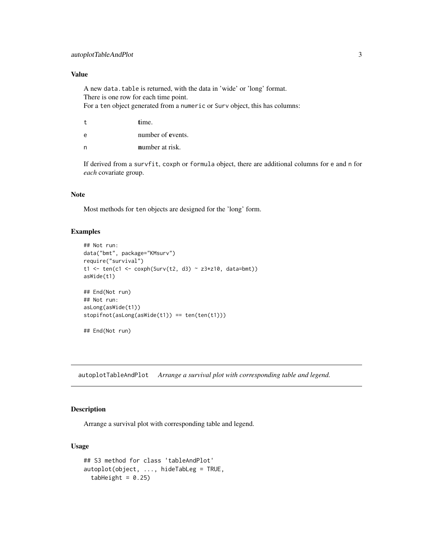# <span id="page-2-0"></span>Value

A new data.table is returned, with the data in 'wide' or 'long' format. There is one row for each time point. For a ten object generated from a numeric or Surv object, this has columns:

- t time.
- e number of events.
- n **number** at risk.

If derived from a survfit, coxph or formula object, there are additional columns for e and n for *each* covariate group.

# Note

Most methods for ten objects are designed for the 'long' form.

#### Examples

```
## Not run:
data("bmt", package="KMsurv")
require("survival")
t1 <- ten(c1 <- coxph(Surv(t2, d3) ~ z3*z10, data=bmt))
asWide(t1)
## End(Not run)
## Not run:
asLong(asWide(t1))
stopifnot(asLong(asWide(t1)) == ten(ten(t1)))
## End(Not run)
```
autoplotTableAndPlot *Arrange a survival plot with corresponding table and legend.*

# Description

Arrange a survival plot with corresponding table and legend.

# Usage

```
## S3 method for class 'tableAndPlot'
autoplot(object, ..., hideTabLeg = TRUE,
 tabHeight = 0.25
```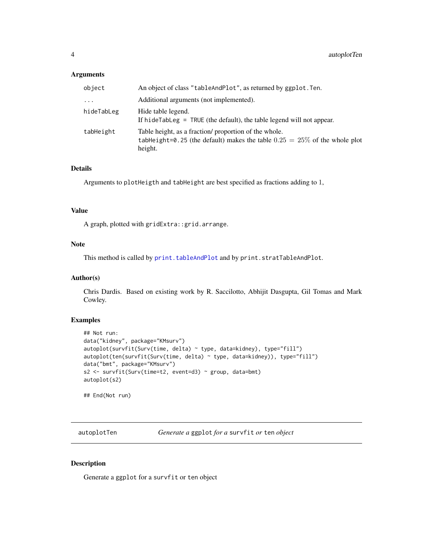#### <span id="page-3-0"></span>Arguments

| object     | An object of class "tableAndPlot", as returned by ggplot. Ten.                                                                                   |
|------------|--------------------------------------------------------------------------------------------------------------------------------------------------|
| $\ddots$ . | Additional arguments (not implemented).                                                                                                          |
| hideTabLeg | Hide table legend.<br>If hide Table $g = TRUE$ (the default), the table legend will not appear.                                                  |
| tabHeight  | Table height, as a fraction/ proportion of the whole.<br>tabHeight=0.25 (the default) makes the table $0.25 = 25\%$ of the whole plot<br>height. |

# Details

Arguments to plotHeigth and tabHeight are best specified as fractions adding to 1,

# Value

A graph, plotted with gridExtra::grid.arrange.

# Note

This method is called by [print.tableAndPlot](#page-27-1) and by print.stratTableAndPlot.

#### Author(s)

Chris Dardis. Based on existing work by R. Saccilotto, Abhijit Dasgupta, Gil Tomas and Mark Cowley.

# Examples

```
## Not run:
data("kidney", package="KMsurv")
autoplot(survfit(Surv(time, delta) ~ type, data=kidney), type="fill")
autoplot(ten(survfit(Surv(time, delta) ~ type, data=kidney)), type="fill")
data("bmt", package="KMsurv")
s2 <- survfit(Surv(time=t2, event=d3) ~ group, data=bmt)
autoplot(s2)
```
## End(Not run)

autoplotTen *Generate a* ggplot *for a* survfit *or* ten *object*

# Description

Generate a ggplot for a survfit or ten object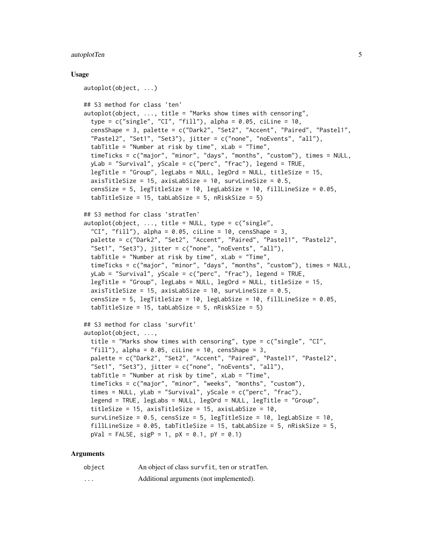# autoplotTen 5

#### Usage

```
autoplot(object, ...)
## S3 method for class 'ten'
autoplot(object, ..., title = "Marks show times with censoring",
 type = c("single", "CI", "fill"), alpha = 0.05, ciline = 10,censShape = 3, palette = c("Dark2", "Set2", "Accent", "Paired", "Pastel1",
  "Pastel2", "Set1", "Set3"), jitter = c("none", "noEvents", "all"),
  tabTitle = "Number at risk by time", xLab = "Time",
  timeTicks = c("major", "minor", "days", "months", "custom"), times = NULL,
  yLab = "Survival", yScale = c("perc", "frac"), legend = TRUE,
  legTitle = "Group", legLabs = NULL, legOrd = NULL, titleSize = 15,
  axisTitleSize = 15, axisLabSize = 10, survLineSize = 0.5,
  censSize = 5, legTitleSize = 10, legLabSize = 10, fillLineSize = 0.05,
  tabTitleSize = 15, tabLabelize = 5, nRiskSize = 5## S3 method for class 'stratTen'
autoplot(object, ..., title = NULL, type = c("single","CI", "fill"), alpha = 0.05, ciline = 10, censShape = 3,
  palette = c("Dark2", "Set2", "Accent", "Paired", "Pastel1", "Pastel2",
  "Set1", "Set3"), jitter = c("none", "noEvents", "all"),
  tabTitle = "Number at risk by time", xLab = "Time",
  timeTicks = c("major", "minor", "days", "months", "custom"), times = NULL,
 yLab = "Survival", yScale = c("perc", "frac"), legend = TRUE,
  legTitle = "Group", legLabs = NULL, legOrd = NULL, titleSize = 15,
  axisTitleSize = 15, axisLabSize = 10, survLineSize = 0.5,
  censSize = 5, legTitleSize = 10, legLabSize = 10, fillLineSize = 0.05,
  tabTitleSize = 15, tabLabelze = 5, nRiskSize = 5## S3 method for class 'survfit'
autoplot(object, ...,
  title = "Marks show times with censoring", type = c("single", "CI",
  "fill"), alpha = 0.05, ciline = 10, censShape = 3,
  palette = c("Dark2", "Set2", "Accent", "Paired", "Pastel1", "Pastel2",
  "Set1", "Set3"), jitter = c("none", "noEvents", "all"),
  tabTitle = "Number at risk by time", xLab = "Time",
  timeTicks = c("major", "minor", "weeks", "months", "custom"),
  times = NULL, yLab = "Survival", yScale = c("perc", "frac"),
  legend = TRUE, legLabs = NULL, legOrd = NULL, legTitle = "Group",
  titleSize = 15, axisTitleSize = 15, axisLabSize = 10,
  survLineSize = 0.5, censSize = 5, legTitleSize = 10, legLabSize = 10,
  fillLineSize = 0.05, tabTitleSize = 15, tabLabSize = 5, nRiskSize = 5,
  pVal = FALSE, sigP = 1, pX = 0.1, pY = 0.1)
```

| object            | An object of class survfit, ten or stratTen. |
|-------------------|----------------------------------------------|
| $\cdot\cdot\cdot$ | Additional arguments (not implemented).      |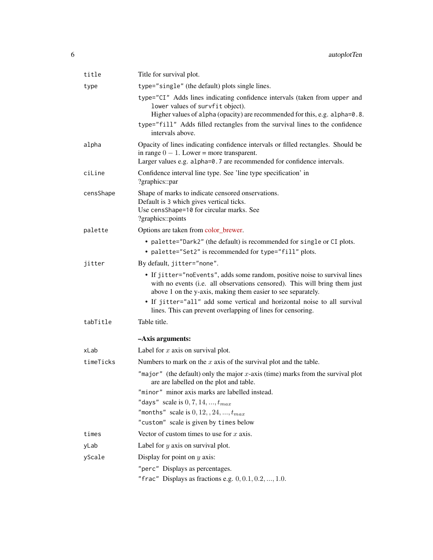| title     | Title for survival plot.                                                                                                                                                                                                                                                                         |
|-----------|--------------------------------------------------------------------------------------------------------------------------------------------------------------------------------------------------------------------------------------------------------------------------------------------------|
| type      | type="single" (the default) plots single lines.                                                                                                                                                                                                                                                  |
|           | type="CI" Adds lines indicating confidence intervals (taken from upper and<br>lower values of survfit object).<br>Higher values of alpha (opacity) are recommended for this, e.g. alpha=0.8.<br>type="fill" Adds filled rectangles from the survival lines to the confidence<br>intervals above. |
| alpha     | Opacity of lines indicating confidence intervals or filled rectangles. Should be<br>in range $0 - 1$ . Lower = more transparent.<br>Larger values e.g. alpha=0.7 are recommended for confidence intervals.                                                                                       |
| ciLine    | Confidence interval line type. See 'line type specification' in<br>?graphics::par                                                                                                                                                                                                                |
| censShape | Shape of marks to indicate censored onservations.<br>Default is 3 which gives vertical ticks.<br>Use censShape=10 for circular marks. See<br>?graphics::points                                                                                                                                   |
| palette   | Options are taken from color_brewer.                                                                                                                                                                                                                                                             |
|           | • palette="Dark2" (the default) is recommended for single or CI plots.                                                                                                                                                                                                                           |
|           | • palette="Set2" is recommended for type="fill" plots.                                                                                                                                                                                                                                           |
| jitter    | By default, jitter="none".                                                                                                                                                                                                                                                                       |
|           | • If jitter="noEvents", adds some random, positive noise to survival lines<br>with no events (i.e. all observations censored). This will bring them just<br>above 1 on the y-axis, making them easier to see separately.                                                                         |
|           | • If jitter="all" add some vertical and horizontal noise to all survival<br>lines. This can prevent overlapping of lines for censoring.                                                                                                                                                          |
| tabTitle  | Table title.                                                                                                                                                                                                                                                                                     |
|           | -Axis arguments:                                                                                                                                                                                                                                                                                 |
| xLab      | Label for $x$ axis on survival plot.                                                                                                                                                                                                                                                             |
| timeTicks | Numbers to mark on the $x$ axis of the survival plot and the table.                                                                                                                                                                                                                              |
|           | "major" (the default) only the major $x$ -axis (time) marks from the survival plot<br>are are labelled on the plot and table.                                                                                                                                                                    |
|           | "minor" minor axis marks are labelled instead.                                                                                                                                                                                                                                                   |
|           | "days" scale is $0, 7, 14, , t_{max}$<br>"months" scale is $0, 12, 24, \ldots, t_{max}$                                                                                                                                                                                                          |
|           | "custom" scale is given by times below                                                                                                                                                                                                                                                           |
| times     | Vector of custom times to use for $x$ axis.                                                                                                                                                                                                                                                      |
| yLab      | Label for $y$ axis on survival plot.                                                                                                                                                                                                                                                             |
| yScale    | Display for point on $y$ axis:                                                                                                                                                                                                                                                                   |
|           | "perc" Displays as percentages.                                                                                                                                                                                                                                                                  |
|           | "frac" Displays as fractions e.g. $0, 0.1, 0.2, , 1.0$ .                                                                                                                                                                                                                                         |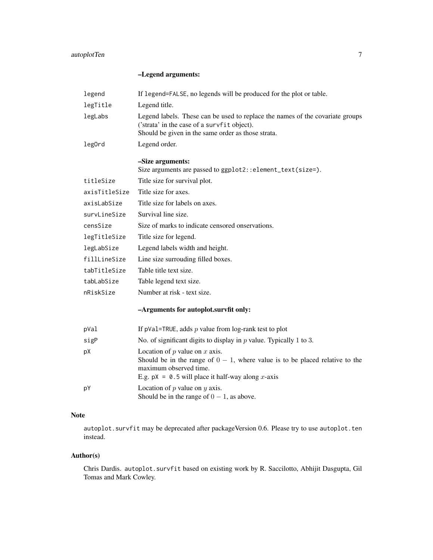# autoplotTen 7

# –Legend arguments:

| legend        | If legend=FALSE, no legends will be produced for the plot or table.                                                                                                                                            |
|---------------|----------------------------------------------------------------------------------------------------------------------------------------------------------------------------------------------------------------|
| legTitle      | Legend title.                                                                                                                                                                                                  |
| legLabs       | Legend labels. These can be used to replace the names of the covariate groups<br>('strata' in the case of a survfit object).<br>Should be given in the same order as those strata.                             |
| leg0rd        | Legend order.                                                                                                                                                                                                  |
|               | -Size arguments:<br>Size arguments are passed to ggplot2::element_text(size=).                                                                                                                                 |
| titleSize     | Title size for survival plot.                                                                                                                                                                                  |
| axisTitleSize | Title size for axes.                                                                                                                                                                                           |
| axisLabSize   | Title size for labels on axes.                                                                                                                                                                                 |
| survLineSize  | Survival line size.                                                                                                                                                                                            |
| censSize      | Size of marks to indicate censored onservations.                                                                                                                                                               |
| legTitleSize  | Title size for legend.                                                                                                                                                                                         |
| legLabSize    | Legend labels width and height.                                                                                                                                                                                |
| fillLineSize  | Line size surrouding filled boxes.                                                                                                                                                                             |
| tabTitleSize  | Table title text size.                                                                                                                                                                                         |
| tabLabSize    | Table legend text size.                                                                                                                                                                                        |
| nRiskSize     | Number at risk - text size.                                                                                                                                                                                    |
|               | -Arguments for autoplot.survfit only:                                                                                                                                                                          |
| pVal          | If $pVal = TRUE$ , adds p value from $log-rank$ test to plot                                                                                                                                                   |
| sigP          | No. of significant digits to display in $p$ value. Typically 1 to 3.                                                                                                                                           |
| pХ            | Location of $p$ value on $x$ axis.<br>Should be in the range of $0 - 1$ , where value is to be placed relative to the<br>maximum observed time.<br>E.g. $pX = 0.5$ will place it half-way along <i>x</i> -axis |
| рY            | Location of $p$ value on $y$ axis.<br>Should be in the range of $0 - 1$ , as above.                                                                                                                            |

# Note

autoplot.survfit may be deprecated after packageVersion 0.6. Please try to use autoplot.ten instead.

# Author(s)

Chris Dardis. autoplot.survfit based on existing work by R. Saccilotto, Abhijit Dasgupta, Gil Tomas and Mark Cowley.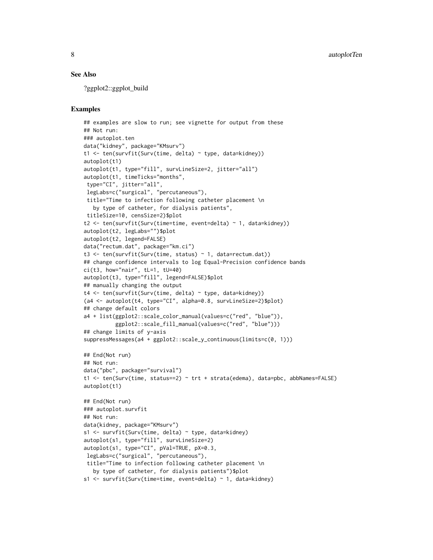#### See Also

?ggplot2::ggplot\_build

# Examples

```
## examples are slow to run; see vignette for output from these
## Not run:
### autoplot.ten
data("kidney", package="KMsurv")
t1 <- ten(survfit(Surv(time, delta) ~ type, data=kidney))
autoplot(t1)
autoplot(t1, type="fill", survLineSize=2, jitter="all")
autoplot(t1, timeTicks="months",
type="CI", jitter="all",
legLabs=c("surgical", "percutaneous"),
title="Time to infection following catheter placement \n
  by type of catheter, for dialysis patients",
titleSize=10, censSize=2)$plot
t2 <- ten(survfit(Surv(time=time, event=delta) ~ 1, data=kidney))
autoplot(t2, legLabs="")$plot
autoplot(t2, legend=FALSE)
data("rectum.dat", package="km.ci")
t3 <- ten(survfit(Surv(time, status) ~ 1, data=rectum.dat))
## change confidence intervals to log Equal-Precision confidence bands
ci(t3, how="nair", tl=1, tU=40)autoplot(t3, type="fill", legend=FALSE)$plot
## manually changing the output
t4 <- ten(survfit(Surv(time, delta) ~ type, data=kidney))
(a4 <- autoplot(t4, type="CI", alpha=0.8, survLineSize=2)$plot)
## change default colors
a4 + list(ggplot2::scale_color_manual(values=c("red", "blue")),
          ggplot2::scale_fill_manual(values=c("red", "blue")))
## change limits of y-axis
suppressMessages(a4 + ggplot2::scale_y_continuous(limits=c(0, 1)))
## End(Not run)
## Not run:
data("pbc", package="survival")
t1 <- ten(Surv(time, status==2) ~ trt + strata(edema), data=pbc, abbNames=FALSE)
autoplot(t1)
## End(Not run)
### autoplot.survfit
## Not run:
data(kidney, package="KMsurv")
s1 <- survfit(Surv(time, delta) ~ type, data=kidney)
autoplot(s1, type="fill", survLineSize=2)
autoplot(s1, type="CI", pVal=TRUE, pX=0.3,
legLabs=c("surgical", "percutaneous"),
title="Time to infection following catheter placement \n
  by type of catheter, for dialysis patients")$plot
s1 <- survfit(Surv(time=time, event=delta) ~ 1, data=kidney)
```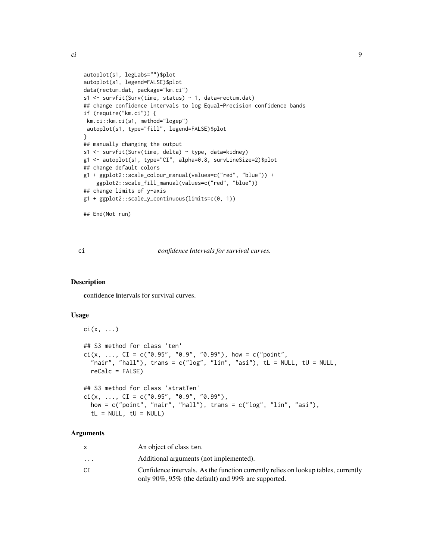<span id="page-8-0"></span>ci 9

```
autoplot(s1, legLabs="")$plot
autoplot(s1, legend=FALSE)$plot
data(rectum.dat, package="km.ci")
s1 <- survfit(Surv(time, status) ~ 1, data=rectum.dat)
## change confidence intervals to log Equal-Precision confidence bands
if (require("km.ci")) {
km.ci::km.ci(s1, method="logep")
autoplot(s1, type="fill", legend=FALSE)$plot
}
## manually changing the output
s1 <- survfit(Surv(time, delta) ~ type, data=kidney)
g1 <- autoplot(s1, type="CI", alpha=0.8, survLineSize=2)$plot
## change default colors
g1 + ggplot2::scale_colour_manual(values=c("red", "blue")) +
    ggplot2::scale_fill_manual(values=c("red", "blue"))
## change limits of y-axis
g1 + ggplot2::scale_y_continuous(limits=c(0, 1))
## End(Not run)
```
# <span id="page-8-1"></span>ci *confidence intervals for survival curves.*

#### Description

confidence intervals for survival curves.

# Usage

```
\text{ci}(x, \ldots)## S3 method for class 'ten'
ci(x, ..., CI = c("0.95", "0.9", "0.99"), how = c("point","nair", "hall"), trans = c("log", "lin", "asi"), tl = NULL, tl = NULL,reCalc = FALSE)
## S3 method for class 'stratTen'
```

```
ci(x, ..., CI = c("0.95", "0.9", "0.99"),
  how = c("point", "nair", "hall"), trans = <math>c("log", "lin", "asi"),tL = NULL, <math>tU = NULL
```

|                         | An object of class ten.                                                            |
|-------------------------|------------------------------------------------------------------------------------|
| $\cdot$ $\cdot$ $\cdot$ | Additional arguments (not implemented).                                            |
| СI                      | Confidence intervals. As the function currently relies on lookup tables, currently |
|                         | only 90%, 95% (the default) and 99% are supported.                                 |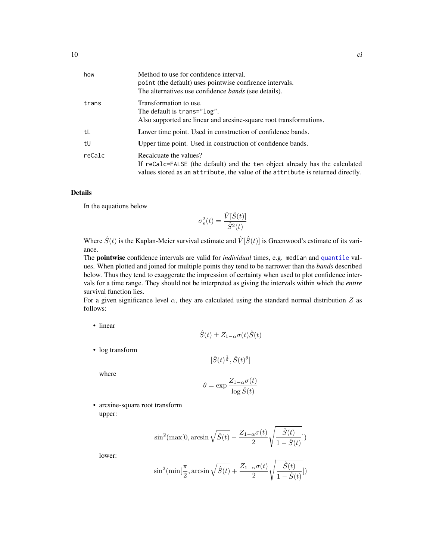<span id="page-9-0"></span>

| Method to use for confidence interval.<br>point (the default) uses pointwise confirence intervals.<br>The alternatives use confidence <i>bands</i> (see details).                        |
|------------------------------------------------------------------------------------------------------------------------------------------------------------------------------------------|
| Transformation to use.<br>The default is trans="log".<br>Also supported are linear and arcsine-square root transformations.                                                              |
| Lower time point. Used in construction of confidence bands.                                                                                                                              |
| Upper time point. Used in construction of confidence bands.                                                                                                                              |
| Recalcuate the values?<br>If reCalc=FALSE (the default) and the ten object already has the calculated<br>values stored as an attribute, the value of the attribute is returned directly. |
|                                                                                                                                                                                          |

# Details

In the equations below

$$
\sigma_s^2(t) = \frac{\hat{V}[\hat{S}(t)]}{\hat{S}^2(t)}
$$

Where  $\hat{S}(t)$  is the Kaplan-Meier survival estimate and  $\hat{V}[\hat{S}(t)]$  is Greenwood's estimate of its variance.

The pointwise confidence intervals are valid for *individual* times, e.g. median and [quantile](#page-0-0) values. When plotted and joined for multiple points they tend to be narrower than the *bands* described below. Thus they tend to exaggerate the impression of certainty when used to plot confidence intervals for a time range. They should not be interpreted as giving the intervals within which the *entire* survival function lies.

For a given significance level  $\alpha$ , they are calculated using the standard normal distribution Z as follows:

• linear

$$
\hat{S}(t) \pm Z_{1-\alpha}\sigma(t)\hat{S}(t)
$$

• log transform

$$
[\hat{S}(t)^{\frac{1}{\theta}}, \hat{S}(t)^{\theta}]
$$

where

$$
\theta = \exp \frac{Z_{1-\alpha} \sigma(t)}{\log \hat{S}(t)}
$$

• arcsine-square root transform upper:

$$
\sin^2(\max[0, \arcsin \sqrt{\hat{S}(t)} - \frac{Z_{1-\alpha}\sigma(t)}{2}\sqrt{\frac{\hat{S}(t)}{1-\hat{S}(t)}}])
$$

lower:

$$
\sin^2(\min[\frac{\pi}{2}, \arcsin\sqrt{\hat{S}(t)} + \frac{Z_{1-\alpha}\sigma(t)}{2}\sqrt{\frac{\hat{S}(t)}{1-\hat{S}(t)}}])
$$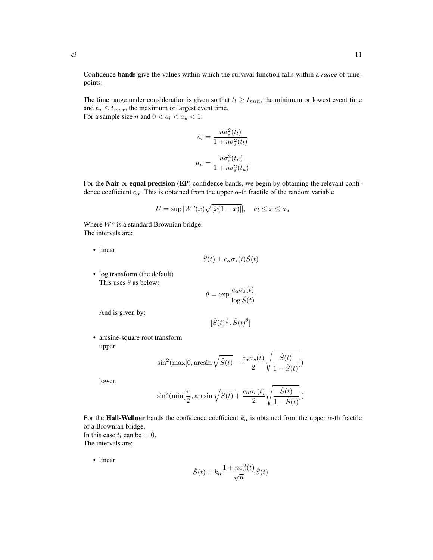Confidence bands give the values within which the survival function falls within a *range* of timepoints.

The time range under consideration is given so that  $t_l \geq t_{min}$ , the minimum or lowest event time and  $t_u \leq t_{max}$ , the maximum or largest event time. For a sample size *n* and  $0 < a_l < a_u < 1$ :

$$
a_l = \frac{n\sigma_s^2(t_l)}{1 + n\sigma_s^2(t_l)}
$$

$$
a_u = \frac{n\sigma_s^2(t_u)}{1 + n\sigma_s^2(t_u)}
$$

For the **Nair** or **equal precision** (EP) confidence bands, we begin by obtaining the relevant confidence coefficient  $c_{\alpha}$ . This is obtained from the upper  $\alpha$ -th fractile of the random variable

$$
U = \sup |Wo(x)\sqrt{[x(1-x)]}|, \quad a_l \le x \le a_u
$$

Where  $W<sup>o</sup>$  is a standard Brownian bridge. The intervals are:

• linear

$$
\hat{S}(t) \pm c_{\alpha}\sigma_s(t)\hat{S}(t)
$$

• log transform (the default) This uses  $\theta$  as below:

$$
\theta = \exp \frac{c_{\alpha} \sigma_s(t)}{\log \hat{S}(t)}
$$

And is given by:

 $[\hat{S}(t)^{\frac{1}{\theta}}, \hat{S}(t)^{\theta}]$ 

• arcsine-square root transform upper:

$$
\sin^2(\max[0, \arcsin \sqrt{\hat{S}(t)} - \frac{c_\alpha \sigma_s(t)}{2} \sqrt{\frac{\hat{S}(t)}{1 - \hat{S}(t)}}])
$$

lower:

$$
\sin^2(\min[\frac{\pi}{2}, \arcsin \sqrt{\hat{S}(t)} + \frac{c_\alpha \sigma_s(t)}{2} \sqrt{\frac{\hat{S}(t)}{1 - \hat{S}(t)}}])
$$

For the **Hall-Wellner** bands the confidence coefficient  $k_{\alpha}$  is obtained from the upper  $\alpha$ -th fractile of a Brownian bridge. In this case  $t_l$  can be = 0. The intervals are:

• linear

$$
\hat{S}(t) \pm k_{\alpha} \frac{1 + n \sigma_s^2(t)}{\sqrt{n}} \hat{S}(t)
$$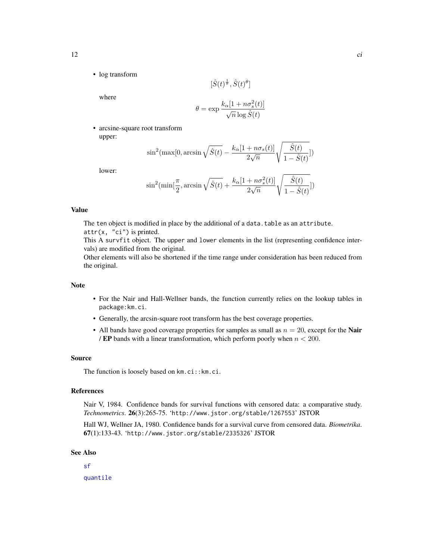<span id="page-11-0"></span>• log transform

$$
[\hat{S}(t)^{\frac{1}{\theta}}, \hat{S}(t)^\theta]
$$

where

$$
\theta = \exp \frac{k_{\alpha} [1 + n \sigma_s^2(t)]}{\sqrt{n} \log \hat{S}(t)}
$$

• arcsine-square root transform upper:

$$
\sin^2(\max[0, \arcsin \sqrt{\hat{S}(t)} - \frac{k_{\alpha}[1 + n\sigma_s(t)]}{2\sqrt{n}} \sqrt{\frac{\hat{S}(t)}{1 - \hat{S}(t)}}])
$$

lower:

$$
\sin^2(\min[\frac{\pi}{2},\arcsin\sqrt{\hat{S}(t)}+\frac{k_\alpha[1+n\sigma_s^2(t)]}{2\sqrt{n}}\sqrt{\frac{\hat{S}(t)}{1-\hat{S}(t)}}])
$$

# Value

The ten object is modified in place by the additional of a data.table as an attribute.  $attr(x, "ci")$  is printed.

This A survfit object. The upper and lower elements in the list (representing confidence intervals) are modified from the original.

Other elements will also be shortened if the time range under consideration has been reduced from the original.

#### Note

- For the Nair and Hall-Wellner bands, the function currently relies on the lookup tables in package:km.ci.
- Generally, the arcsin-square root transform has the best coverage properties.
- All bands have good coverage properties for samples as small as  $n = 20$ , except for the **Nair** / EP bands with a linear transformation, which perform poorly when  $n < 200$ .

#### Source

The function is loosely based on km.ci:: km.ci.

# References

Nair V, 1984. Confidence bands for survival functions with censored data: a comparative study. *Technometrics*. 26(3):265-75. 'http://www.jstor.org/stable/1267553' JSTOR

Hall WJ, Wellner JA, 1980. Confidence bands for a survival curve from censored data. *Biometrika*. 67(1):133-43. 'http://www.jstor.org/stable/2335326' JSTOR

# See Also

[sf](#page-32-1)

[quantile](#page-0-0)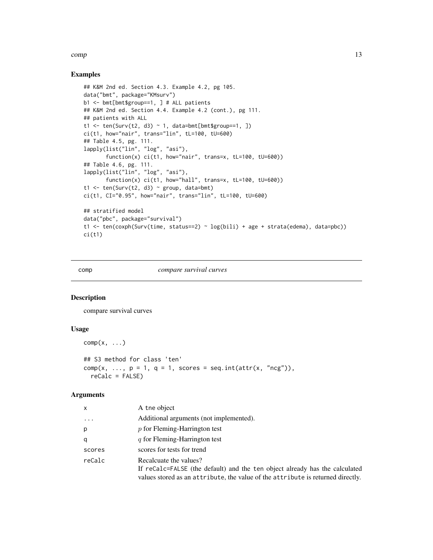#### <span id="page-12-0"></span>comp and the comp of the comp of the comp of the comp of the comp of the comp of the comp of the comp of the comp of the comp of the comp of the comp of the comp of the comp of the comp of the comp of the comp of the comp

# Examples

```
## K&M 2nd ed. Section 4.3. Example 4.2, pg 105.
data("bmt", package="KMsurv")
b1 <- bmt[bmt$group==1, ] # ALL patients
## K&M 2nd ed. Section 4.4. Example 4.2 (cont.), pg 111.
## patients with ALL
t1 <- ten(Surv(t2, d3) ~ 1, data=bmt[bmt$group==1, ])
ci(t1, how="nair", trans="lin", tL=100, tU=600)
## Table 4.5, pg. 111.
lapply(list("lin", "log", "asi"),
       function(x) ci(t1, how="nair", trans=x, tL=100, tU=600))
## Table 4.6, pg. 111.
lapply(list("lin", "log", "asi"),
       function(x) ci(t1, how="hall", trans=x, tL=100, tU=600))
t1 <- ten(Surv(t2, d3) \sim group, data=bmt)
ci(t1, CI="0.95", how="nair", trans="lin", tL=100, tU=600)
## stratified model
data("pbc", package="survival")
t1 <- ten(coxph(Surv(time, status==2) ~ log(bili) + age + strata(edema), data=pbc))
ci(t1)
```
<span id="page-12-1"></span>

comp *compare survival curves*

#### Description

compare survival curves

### Usage

```
comp(x, \ldots)## S3 method for class 'ten'
comp(x, ..., p = 1, q = 1, scores = seq.int(attr(x, "ncg")),
  reCalc = FALSE)
```

| x        | A the object                                                                                                                                                                             |
|----------|------------------------------------------------------------------------------------------------------------------------------------------------------------------------------------------|
| $\cdots$ | Additional arguments (not implemented).                                                                                                                                                  |
| p        | $p$ for Fleming-Harrington test                                                                                                                                                          |
| q        | q for Fleming-Harrington test                                                                                                                                                            |
| scores   | scores for tests for trend                                                                                                                                                               |
| reCalc   | Recalcuate the values?<br>If reCalc=FALSE (the default) and the ten object already has the calculated<br>values stored as an attribute, the value of the attribute is returned directly. |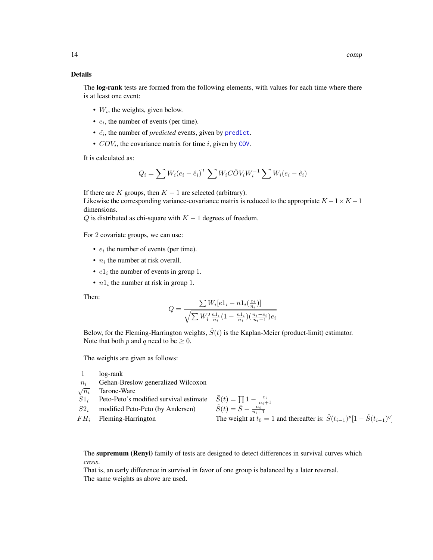#### <span id="page-13-0"></span>Details

The **log-rank** tests are formed from the following elements, with values for each time where there is at least one event:

- $\bullet$   $W_i$ , the weights, given below.
- $e_i$ , the number of events (per time).
- $\cdot$   $\hat{e}_i$ , the number of *[predict](#page-25-1)ed* events, given by predict.
- $COV_i$  $COV_i$ , the covariance matrix for time i, given by COV.

It is calculated as:

$$
Q_i = \sum W_i (e_i - \hat{e}_i)^T \sum W_i C \hat{O} V_i W_i^{-1} \sum W_i (e_i - \hat{e}_i)
$$

If there are K groups, then  $K - 1$  are selected (arbitrary).

Likewise the corresponding variance-covariance matrix is reduced to the appropriate  $K - 1 \times K - 1$ dimensions.

 $Q$  is distributed as chi-square with  $K - 1$  degrees of freedom.

For 2 covariate groups, we can use:

- $e_i$  the number of events (per time).
- $n_i$  the number at risk overall.
- $e1_i$  the number of events in group 1.
- $n_1$  the number at risk in group 1.

Then:

$$
Q = \frac{\sum W_i [e1_i - n1_i(\frac{e_i}{n_i})]}{\sqrt{\sum W_i^2 \frac{n1_i}{n_i} (1 - \frac{n1_i}{n_i})(\frac{n_i - e_i}{n_i - 1})e_i}}
$$

Below, for the Fleming-Harrington weights,  $\hat{S}(t)$  is the Kaplan-Meier (product-limit) estimator. Note that both p and q need to be  $\geq 0$ .

The weights are given as follows:

- 1 log-rank
- $n_i$  Gehan-Breslow generalized Wilcoxon

 $\sqrt{n_i}$ Tarone-Ware

- $S1_i$  Peto-Peto's modified survival estimate  $\frac{1 - \frac{e_i}{n_i+1}}{\frac{n_i}{n_i+1}}$  $S2_i$  modified Peto-Peto (by Andersen)
- 

FH<sub>i</sub> Fleming-Harrington The weight at  $t_0 = 1$  and thereafter is:  $\hat{S}(t_{i-1})^p [1 - \hat{S}(t_{i-1})^q]$ 

The supremum (Renyi) family of tests are designed to detect differences in survival curves which *cross*.

That is, an early difference in survival in favor of one group is balanced by a later reversal. The same weights as above are used.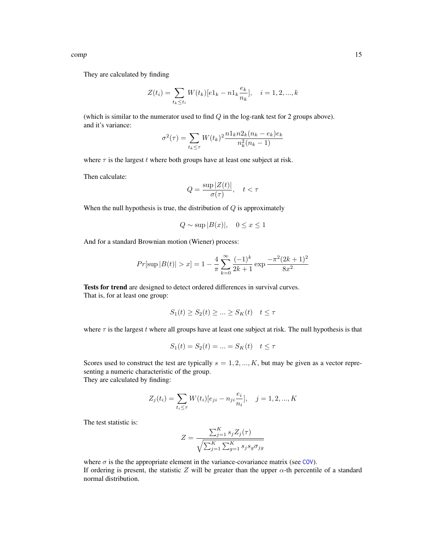<span id="page-14-0"></span>They are calculated by finding

$$
Z(t_i) = \sum_{t_k \le t_i} W(t_k)[e1_k - n1_k \frac{e_k}{n_k}], \quad i = 1, 2, ..., k
$$

(which is similar to the numerator used to find  $Q$  in the log-rank test for 2 groups above). and it's variance:

$$
\sigma^{2}(\tau) = \sum_{t_{k} \leq \tau} W(t_{k})^{2} \frac{n 1_{k} n 2_{k} (n_{k} - e_{k}) e_{k}}{n_{k}^{2} (n_{k} - 1)}
$$

where  $\tau$  is the largest t where both groups have at least one subject at risk.

Then calculate:

$$
Q = \frac{\sup |Z(t)|}{\sigma(\tau)}, \quad t < \tau
$$

When the null hypothesis is true, the distribution of  $Q$  is approximately

$$
Q \sim \sup |B(x)|
$$
,  $0 \le x \le 1$ 

And for a standard Brownian motion (Wiener) process:

$$
Pr[\sup |B(t)| > x] = 1 - \frac{4}{\pi} \sum_{k=0}^{\infty} \frac{(-1)^k}{2k+1} \exp \frac{-\pi^2 (2k+1)^2}{8x^2}
$$

Tests for trend are designed to detect ordered differences in survival curves. That is, for at least one group:

$$
S_1(t) \ge S_2(t) \ge \dots \ge S_K(t) \quad t \le \tau
$$

where  $\tau$  is the largest t where all groups have at least one subject at risk. The null hypothesis is that

$$
S_1(t) = S_2(t) = \dots = S_K(t) \quad t \le \tau
$$

Scores used to construct the test are typically  $s = 1, 2, ..., K$ , but may be given as a vector representing a numeric characteristic of the group. They are calculated by finding:

$$
Z_j(t_i) = \sum_{t_i \le \tau} W(t_i) [e_{ji} - n_{ji} \frac{e_i}{n_i}], \quad j = 1, 2, ..., K
$$

The test statistic is:

$$
Z = \frac{\sum_{j=1}^{K} s_j Z_j(\tau)}{\sqrt{\sum_{j=1}^{K} \sum_{g=1}^{K} s_j s_g \sigma_{jg}}}
$$

where  $\sigma$  is the the appropriate element in the variance-covariance matrix (see [COV](#page-16-1)). If ordering is present, the statistic Z will be greater than the upper  $\alpha$ -th percentile of a standard normal distribution.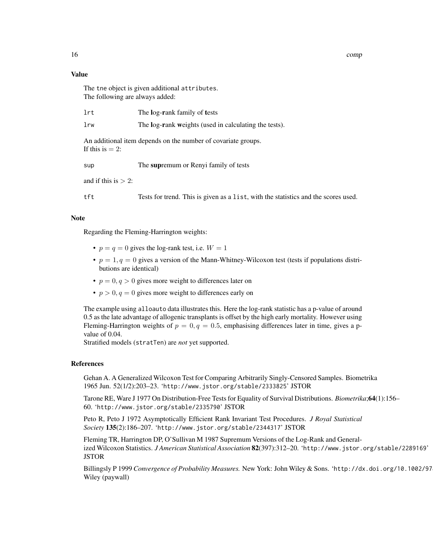16 comp

#### Value

The tne object is given additional attributes. The following are always added:

| lrw<br>The log-rank weights (used in calculating the tests).                              |  |
|-------------------------------------------------------------------------------------------|--|
| An additional item depends on the number of covariate groups.<br>If this is $= 2$ :       |  |
| The supremum or Renyi family of tests<br>sup                                              |  |
| and if this is $> 2$ :                                                                    |  |
| tft<br>Tests for trend. This is given as a list, with the statistics and the scores used. |  |

#### Note

Regarding the Fleming-Harrington weights:

- $p = q = 0$  gives the log-rank test, i.e.  $W = 1$
- $p = 1, q = 0$  gives a version of the Mann-Whitney-Wilcoxon test (tests if populations distributions are identical)
- $p = 0, q > 0$  gives more weight to differences later on
- $p > 0, q = 0$  gives more weight to differences early on

The example using alloauto data illustrates this. Here the log-rank statistic has a p-value of around 0.5 as the late advantage of allogenic transplants is offset by the high early mortality. However using Fleming-Harrington weights of  $p = 0, q = 0.5$ , emphasising differences later in time, gives a pvalue of 0.04.

Stratified models (stratTen) are *not* yet supported.

#### References

Gehan A. A Generalized Wilcoxon Test for Comparing Arbitrarily Singly-Censored Samples. Biometrika 1965 Jun. 52(1/2):203–23. 'http://www.jstor.org/stable/2333825' JSTOR

Tarone RE, Ware J 1977 On Distribution-Free Tests for Equality of Survival Distributions. *Biometrika*;64(1):156– 60. 'http://www.jstor.org/stable/2335790' JSTOR

Peto R, Peto J 1972 Asymptotically Efficient Rank Invariant Test Procedures. *J Royal Statistical Society* 135(2):186–207. 'http://www.jstor.org/stable/2344317' JSTOR

Fleming TR, Harrington DP, O'Sullivan M 1987 Supremum Versions of the Log-Rank and Generalized Wilcoxon Statistics. *J American Statistical Association* 82(397):312–20. 'http://www.jstor.org/stable/2289169' **JSTOR** 

Billingsly P 1999 *Convergence of Probability Measures*. New York: John Wiley & Sons. 'http://dx.doi.org/10.1002/97 Wiley (paywall)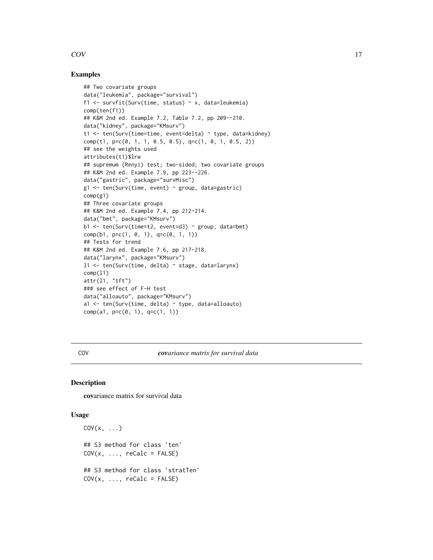# <span id="page-16-0"></span> $\rm COV$  and  $\rm 17$

# Examples

```
## Two covariate groups
data("leukemia", package="survival")
f1 \le survfit(Surv(time, status) \sim x, data=leukemia)
comp(ten(f1))
## K&M 2nd ed. Example 7.2, Table 7.2, pp 209--210.
data("kidney", package="KMsurv")
t1 <- ten(Surv(time=time, event=delta) ~ type, data=kidney)
comp(t1, p=c(0, 1, 1, 0.5, 0.5), q=c(1, 0, 1, 0.5, 2))
## see the weights used
attributes(t1)$lrw
## supremum (Renyi) test; two-sided; two covariate groups
## K&M 2nd ed. Example 7.9, pp 223--226.
data("gastric", package="survMisc")
g1 \leftarrow \text{ten}(\text{Surv}(\text{time}, \text{event}) \sim \text{group}, \text{data=gastric})comp(g1)
## Three covariate groups
## K&M 2nd ed. Example 7.4, pp 212-214.
data("bmt", package="KMsurv")
b1 <- ten(Surv(time=t2, event=d3) ~ group, data=bmt)
comp(b1, p=c(1, 0, 1), q=c(0, 1, 1))## Tests for trend
## K&M 2nd ed. Example 7.6, pp 217-218.
data("larynx", package="KMsurv")
l1 <- ten(Surv(time, delta) ~ stage, data=larynx)
comp(l1)
attr(11, "tft")### see effect of F-H test
data("alloauto", package="KMsurv")
a1 <- ten(Surv(time, delta) ~ type, data=alloauto)
comp(a1, p=c(0, 1), q=c(1, 1))
```
<span id="page-16-1"></span>COV *covariance matrix for survival data*

# Description

covariance matrix for survival data

#### Usage

```
COV(x, \ldots)## S3 method for class 'ten'
COV(x, ..., recalc = FALSE)## S3 method for class 'stratTen'
COV(x, ..., recallc = FALSE)
```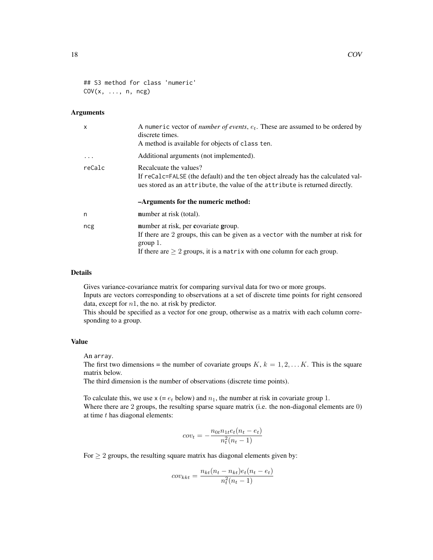## S3 method for class 'numeric'  $COV(x, ..., n, ncg)$ 

### Arguments

| X        | A numeric vector of <i>number of events</i> , $e_t$ . These are assumed to be ordered by<br>discrete times.<br>A method is available for objects of class ten.                                                          |
|----------|-------------------------------------------------------------------------------------------------------------------------------------------------------------------------------------------------------------------------|
| $\cdots$ | Additional arguments (not implemented).                                                                                                                                                                                 |
| reCalc   | Recalcuate the values?<br>If recalc=FALSE (the default) and the ten object already has the calculated val-<br>ues stored as an attribute, the value of the attribute is returned directly.                              |
|          | -Arguments for the numeric method:                                                                                                                                                                                      |
| n        | <b>number</b> at risk (total).                                                                                                                                                                                          |
| ncg      | number at risk, per covariate group.<br>If there are 2 groups, this can be given as a vector with the number at risk for<br>group $1$ .<br>If there are $\geq 2$ groups, it is a matrix with one column for each group. |

### Details

Gives variance-covariance matrix for comparing survival data for two or more groups. Inputs are vectors corresponding to observations at a set of discrete time points for right censored data, except for  $n1$ , the no. at risk by predictor.

This should be specified as a vector for one group, otherwise as a matrix with each column corresponding to a group.

# Value

An array.

The first two dimensions = the number of covariate groups  $K, k = 1, 2, \ldots K$ . This is the square matrix below.

The third dimension is the number of observations (discrete time points).

To calculate this, we use  $x (= e_t$  below) and  $n_1$ , the number at risk in covariate group 1. Where there are 2 groups, the resulting sparse square matrix (i.e. the non-diagonal elements are 0) at time  $t$  has diagonal elements:

$$
cov_t = -\frac{n_{0t}n_{1t}e_t(n_t - e_t)}{n_t^2(n_t - 1)}
$$

For  $\geq 2$  groups, the resulting square matrix has diagonal elements given by:

$$
cov_{kkt} = \frac{n_{kt}(n_t - n_{kt})e_t(n_t - e_t)}{n_t^2(n_t - 1)}
$$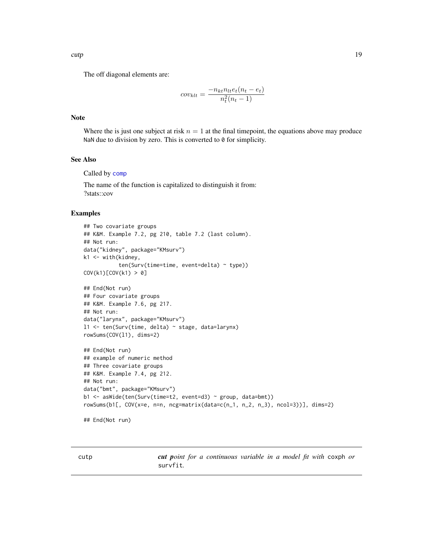<span id="page-18-0"></span>The off diagonal elements are:

$$
cov_{klt} = \frac{-n_{kt}n_{lt}e_t(n_t - e_t)}{n_t^2(n_t - 1)}
$$

#### Note

Where the is just one subject at risk  $n = 1$  at the final timepoint, the equations above may produce NaN due to division by zero. This is converted to 0 for simplicity.

# See Also

Called by [comp](#page-12-1)

The name of the function is capitalized to distinguish it from: ?stats::cov

#### Examples

```
## Two covariate groups
## K&M. Example 7.2, pg 210, table 7.2 (last column).
## Not run:
data("kidney", package="KMsurv")
k1 <- with(kidney,
           ten(Surv(time=time, event=delta) ~ type))
COV(k1)[COV(k1) > 0]## End(Not run)
## Four covariate groups
## K&M. Example 7.6, pg 217.
## Not run:
data("larynx", package="KMsurv")
l1 <- ten(Surv(time, delta) ~ stage, data=larynx)
rowSums(COV(l1), dims=2)
## End(Not run)
## example of numeric method
## Three covariate groups
## K&M. Example 7.4, pg 212.
## Not run:
data("bmt", package="KMsurv")
b1 <- asWide(ten(Surv(time=t2, event=d3) ~ group, data=bmt))
rowSums(b1[, COV(x=e, n=n, ncg=matrix(xdata=c(n_1, n_2, n_3), ncol=3))], dims=2)
```
## End(Not run)

cutp *cut point for a continuous variable in a model fit with* coxph *or* survfit*.*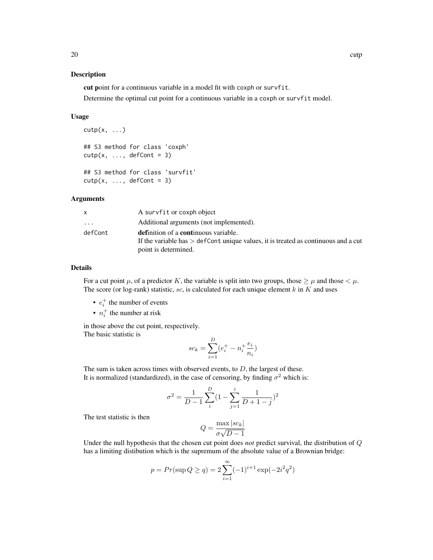#### Description

cut point for a continuous variable in a model fit with coxph or survfit.

Determine the optimal cut point for a continuous variable in a coxph or survfit model.

# Usage

```
cutp(x, \ldots)## S3 method for class 'coxph'
\text{cutp}(x, \ldots, \text{defCont } = 3)## S3 method for class 'survfit'
\text{cutp}(x, \ldots, \text{defCont } = 3)
```
#### Arguments

|         | A survfit or coxph object                                                            |
|---------|--------------------------------------------------------------------------------------|
| .       | Additional arguments (not implemented).                                              |
| defCont | <b>definition of a continuous variable.</b>                                          |
|         | If the variable has $>$ defCont unique values, it is treated as continuous and a cut |
|         | point is determined.                                                                 |

# Details

For a cut point  $\mu$ , of a predictor K, the variable is split into two groups, those  $\geq \mu$  and those  $\lt \mu$ . The score (or log-rank) statistic, sc, is calculated for each unique element  $k$  in  $K$  and uses

- $e_i^+$  the number of events
- $n_i^+$  the number at risk

in those above the cut point, respectively. The basic statistic is

$$
sc_k = \sum_{i=1}^{D} (e_i^+ - n_i^+ \frac{e_i}{n_i})
$$

The sum is taken across times with observed events, to  $D$ , the largest of these. It is normalized (standardized), in the case of censoring, by finding  $\sigma^2$  which is:

$$
\sigma^2 = \frac{1}{D-1} \sum_{i}^{D} (1 - \sum_{j=1}^{i} \frac{1}{D+1-j})^2
$$

The test statistic is then

$$
Q = \frac{\max|sc_k|}{\sigma\sqrt{D-1}}
$$

Under the null hypothesis that the chosen cut point does *not* predict survival, the distribution of Q has a limiting distibution which is the supremum of the absolute value of a Brownian bridge:

$$
p = Pr(\sup Q \ge q) = 2\sum_{i=1}^{\infty} (-1)^{i+1} \exp(-2i^2 q^2)
$$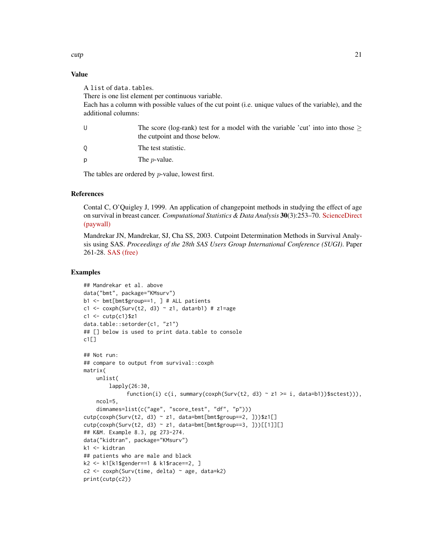# Value

A list of data.tables.

There is one list element per continuous variable.

Each has a column with possible values of the cut point (i.e. unique values of the variable), and the additional columns:

| The score (log-rank) test for a model with the variable 'cut' into into those $\geq$ |
|--------------------------------------------------------------------------------------|
| the cutpoint and those below.                                                        |
| The test statistic.                                                                  |

 $p$  The *p*-value.

The tables are ordered by p-value, lowest first.

#### References

Contal C, O'Quigley J, 1999. An application of changepoint methods in studying the effect of age on survival in breast cancer. *Computational Statistics & Data Analysis* 30(3):253–70. [ScienceDirect](http://dx.doi.org/10.1016/S0167-9473(98)00096-6) [\(paywall\)](http://dx.doi.org/10.1016/S0167-9473(98)00096-6)

Mandrekar JN, Mandrekar, SJ, Cha SS, 2003. Cutpoint Determination Methods in Survival Analysis using SAS. *Proceedings of the 28th SAS Users Group International Conference (SUGI)*. Paper 261-28. [SAS \(free\)](http://www2.sas.com/proceedings/sugi28/261-28.pdf)

# Examples

```
## Mandrekar et al. above
data("bmt", package="KMsurv")
b1 <- bmt[bmt$group==1, ] # ALL patients
c1 <- coxph(Surv(t2, d3) ~ z1, data=b1) # z1=age
c1 \leftarrow \text{cutp}(c1)$z1
data.table::setorder(c1, "z1")
## [] below is used to print data.table to console
c1[]
## Not run:
## compare to output from survival::coxph
matrix(
   unlist(
        lapply(26:30,
              function(i) c(i, summary(coxph(Surv(t2, d3) ~ z1 >= i, data=b1))$sctest))),
    ncol=5,
    dimnames=list(c("age", "score_test", "df", "p")))
cutp(coxph(Surv(t2, d3) ~ z1, data=bmt[bmt$group==2, ]))$z1[]
cutp(coxph(Surv(t2, d3) ~ z1, data=bmt[bmt$group==3, ]))[[1]][]
## K&M. Example 8.3, pg 273-274.
data("kidtran", package="KMsurv")
k1 <- kidtran
## patients who are male and black
k2 <- k1[k1$gender==1 & k1$race==2, ]
c2 <- coxph(Surv(time, delta) ~ age, data=k2)
print(cutp(c2))
```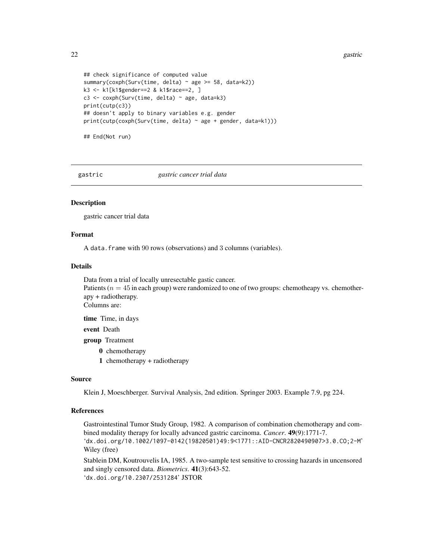22 gastric group of the contract of the contract of the contract of the contract of the contract of the contract of the contract of the contract of the contract of the contract of the contract of the contract of the contra

```
## check significance of computed value
summary(coxph(Surv(time, delta) ~ age >= 58, data=k2))
k3 <- k1[k1$gender==2 & k1$race==2, ]
c3 <- coxph(Surv(time, delta) ~ age, data=k3)
print(cutp(c3))
## doesn't apply to binary variables e.g. gender
print(cutp(coxph(Surv(time, delta) ~ age + gender, data=k1)))
```
## End(Not run)

gastric *gastric cancer trial data*

# **Description**

gastric cancer trial data

#### Format

A data.frame with 90 rows (observations) and 3 columns (variables).

#### Details

Data from a trial of locally unresectable gastic cancer. Patients ( $n = 45$  in each group) were randomized to one of two groups: chemotheapy vs. chemotherapy + radiotherapy. Columns are:

time Time, in days

event Death

group Treatment

- 0 chemotherapy
- 1 chemotherapy + radiotherapy

#### Source

Klein J, Moeschberger. Survival Analysis, 2nd edition. Springer 2003. Example 7.9, pg 224.

# References

Gastrointestinal Tumor Study Group, 1982. A comparison of combination chemotherapy and combined modality therapy for locally advanced gastric carcinoma. *Cancer*. 49(9):1771-7. 'dx.doi.org/10.1002/1097-0142(19820501)49:9<1771::AID-CNCR2820490907>3.0.CO;2-M' Wiley (free)

Stablein DM, Koutrouvelis IA, 1985. A two-sample test sensitive to crossing hazards in uncensored and singly censored data. *Biometrics*. 41(3):643-52. 'dx.doi.org/10.2307/2531284' JSTOR

<span id="page-21-0"></span>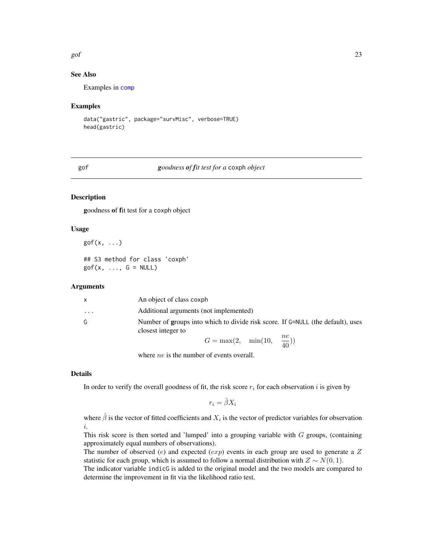#### <span id="page-22-0"></span>gof 23

# See Also

Examples in [comp](#page-12-1)

### Examples

```
data("gastric", package="survMisc", verbose=TRUE)
head(gastric)
```
# gof *goodness of fit test for a* coxph *object*

# Description

goodness of fit test for a coxph object

# Usage

gof $(x, \ldots)$ ## S3 method for class 'coxph'  $gof(x, \ldots, G = NULL)$ 

# **Arguments**

| $\mathsf{x}$ | An object of class coxph                                                                              |
|--------------|-------------------------------------------------------------------------------------------------------|
| .            | Additional arguments (not implemented)                                                                |
| G            | Number of groups into which to divide risk score. If G=NULL (the default), uses<br>closest integer to |
|              | $G = \max(2, \min(10, \frac{ne}{40}))$                                                                |

where *ne* is the number of events overall.

### Details

In order to verify the overall goodness of fit, the risk score  $r_i$  for each observation i is given by

 $r_i = \hat{\beta}X_i$ 

where  $\hat{\beta}$  is the vector of fitted coefficients and  $X_i$  is the vector of predictor variables for observation i.

This risk score is then sorted and 'lumped' into a grouping variable with  $G$  groups, (containing approximately equal numbers of observations).

The number of observed (e) and expected (exp) events in each group are used to generate a  $Z$ statistic for each group, which is assumed to follow a normal distribution with  $Z \sim N(0, 1)$ .

The indicator variable indicG is added to the original model and the two models are compared to determine the improvement in fit via the likelihood ratio test.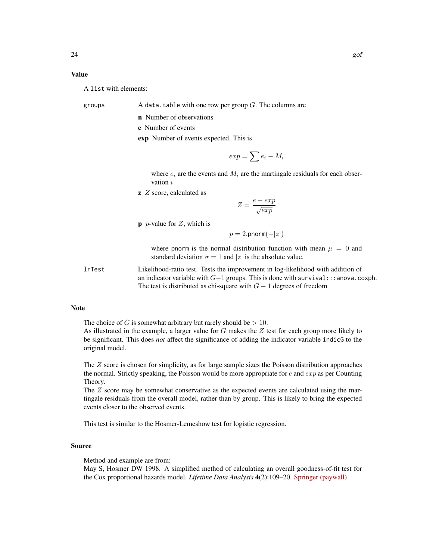# Value

A list with elements:

groups  $\blacksquare$  A data.table with one row per group G. The columns are

n Number of observations

e Number of events

exp Number of events expected. This is

$$
exp = \sum e_i - M_i
$$

where  $e_i$  are the events and  $M_i$  are the martingale residuals for each observation  $i$ 

 $\bf{z}$  Z score, calculated as

$$
Z = \frac{e - exp}{\sqrt{exp}}
$$

**p** *p*-value for  $Z$ , which is

$$
p = 2.\text{pnorm}(-|z|)
$$

where pnorm is the normal distribution function with mean  $\mu = 0$  and standard deviation  $\sigma = 1$  and |z| is the absolute value.

lrTest Likelihood-ratio test. Tests the improvement in log-likelihood with addition of an indicator variable with  $G-1$  groups. This is done with survival:::anova.coxph. The test is distributed as chi-square with  $G - 1$  degrees of freedom

#### Note

The choice of G is somewhat arbitrary but rarely should be  $> 10$ .

As illustrated in the example, a larger value for  $G$  makes the  $Z$  test for each group more likely to be significant. This does *not* affect the significance of adding the indicator variable indicG to the original model.

The  $Z$  score is chosen for simplicity, as for large sample sizes the Poisson distribution approaches the normal. Strictly speaking, the Poisson would be more appropriate for  $e$  and  $exp$  as per Counting Theory.

The  $Z$  score may be somewhat conservative as the expected events are calculated using the martingale residuals from the overall model, rather than by group. This is likely to bring the expected events closer to the observed events.

This test is similar to the Hosmer-Lemeshow test for logistic regression.

#### Source

Method and example are from:

May S, Hosmer DW 1998. A simplified method of calculating an overall goodness-of-fit test for the Cox proportional hazards model. *Lifetime Data Analysis* 4(2):109–20. [Springer \(paywall\)](http://dx.doi.org/10.1023/A:1009612305785)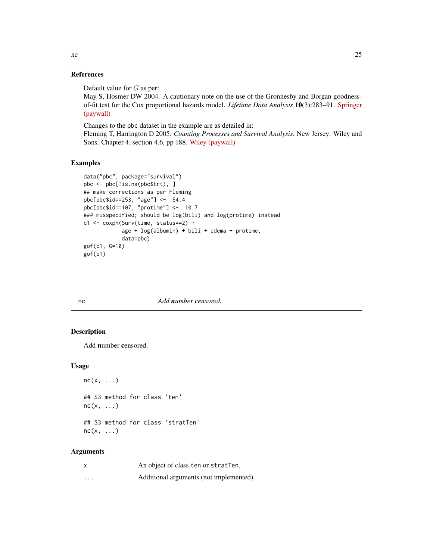#### References

Default value for G as per:

May S, Hosmer DW 2004. A cautionary note on the use of the Gronnesby and Borgan goodnessof-fit test for the Cox proportional hazards model. *Lifetime Data Analysis* 10(3):283–91. [Springer](http://dx.doi.org/10.1023/B:LIDA.0000036393.29224.1d) [\(paywall\)](http://dx.doi.org/10.1023/B:LIDA.0000036393.29224.1d)

Changes to the pbc dataset in the example are as detailed in: Fleming T, Harrington D 2005. *Counting Processes and Survival Analysis*. New Jersey: Wiley and Sons. Chapter 4, section 4.6, pp 188. [Wiley \(paywall\)](http://dx.doi.org/10.1002/9781118150672)

# Examples

```
data("pbc", package="survival")
pbc <- pbc[!is.na(pbc$trt), ]
## make corrections as per Fleming
pbc[pbc$id==253, "age"] <- 54.4
pbc[pbc$id==107, "protime"] <- 10.7
### misspecified; should be log(bili) and log(protime) instead
c1 <- coxph(Surv(time, status==2) ~
            age + log(albumin) + bili + edema + protime,
            data=pbc)
gof(c1, G=10)
gof(c1)
```
#### nc *Add number censored.*

# Description

Add number censored.

# Usage

```
nc(x, \ldots)## S3 method for class 'ten'
nc(x, \ldots)## S3 method for class 'stratTen'
nc(x, \ldots)
```

| x        | An object of class ten or stratTen.     |
|----------|-----------------------------------------|
| $\cdots$ | Additional arguments (not implemented). |

<span id="page-24-0"></span>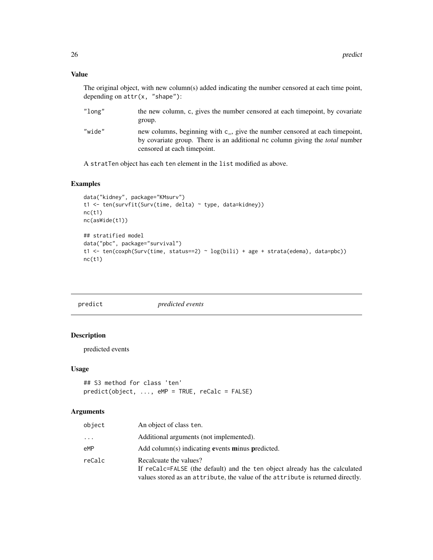# Value

The original object, with new column(s) added indicating the number censored at each time point, depending on attr(x, "shape"):

| "long" | the new column, c, gives the number censored at each timepoint, by covariate        |
|--------|-------------------------------------------------------------------------------------|
|        | group.                                                                              |
| "wide" | new columns, beginning with $c_{-}$ , give the number censored at each timepoint,   |
|        | by covariate group. There is an additional nc column giving the <i>total</i> number |
|        | censored at each time point.                                                        |

A stratTen object has each ten element in the list modified as above.

# Examples

```
data("kidney", package="KMsurv")
t1 <- ten(survfit(Surv(time, delta) ~ type, data=kidney))
nc(t1)nc(asWide(t1))
## stratified model
data("pbc", package="survival")
t1 <- ten(coxph(Surv(time, status==2) ~ log(bili) + age + strata(edema), data=pbc))
nc(t1)
```
<span id="page-25-1"></span>

| predict |  |
|---------|--|
|         |  |
|         |  |
|         |  |

predict *predicted events*

### Description

predicted events

# Usage

```
## S3 method for class 'ten'
predict(object, ..., eMP = TRUE, reCalc = FALSE)
```

| object | An object of class ten.                                                                                                                                                                  |
|--------|------------------------------------------------------------------------------------------------------------------------------------------------------------------------------------------|
| .      | Additional arguments (not implemented).                                                                                                                                                  |
| eMP    | Add column(s) indicating events minus predicted.                                                                                                                                         |
| reCalc | Recalcuate the values?<br>If reCalc=FALSE (the default) and the ten object already has the calculated<br>values stored as an attribute, the value of the attribute is returned directly. |

<span id="page-25-0"></span>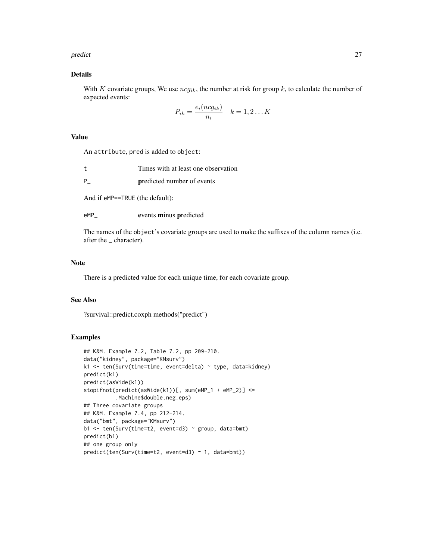#### predict 27

# Details

With K covariate groups, We use  $ncg_{ik}$ , the number at risk for group k, to calculate the number of expected events:

$$
P_{ik} = \frac{e_i(ncg_{ik})}{n_i} \quad k = 1, 2...K
$$

# Value

An attribute, pred is added to object:

| Times with at least one observation |
|-------------------------------------|
| <b>predicted number of events</b>   |

And if eMP==TRUE (the default):

eMP\_ events minus predicted

The names of the object's covariate groups are used to make the suffixes of the column names (i.e. after the \_ character).

#### Note

There is a predicted value for each unique time, for each covariate group.

# See Also

?survival::predict.coxph methods("predict")

### Examples

```
## K&M. Example 7.2, Table 7.2, pp 209-210.
data("kidney", package="KMsurv")
k1 <- ten(Surv(time=time, event=delta) ~ type, data=kidney)
predict(k1)
predict(asWide(k1))
stopifnot(predict(asWide(k1))[, sum(eMP_1 + eMP_2)] <=
          .Machine$double.neg.eps)
## Three covariate groups
## K&M. Example 7.4, pp 212-214.
data("bmt", package="KMsurv")
b1 <- ten(Surv(time=t2, event=d3) ~ group, data=bmt)
predict(b1)
## one group only
predict(ten(Surv(time=t2, event=d3) ~ 1, data=bmt))
```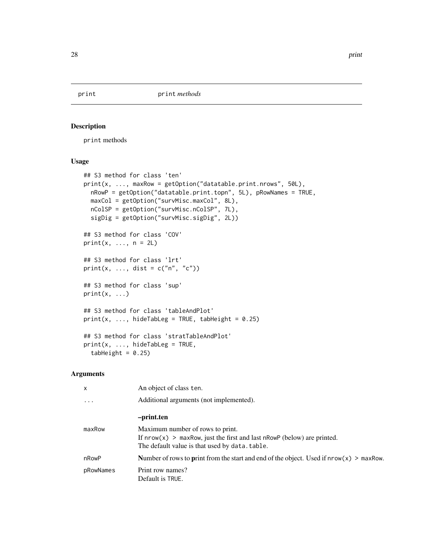<span id="page-27-2"></span><span id="page-27-0"></span>

# <span id="page-27-1"></span>Description

print methods

# Usage

```
## S3 method for class 'ten'
print(x, ..., maxRow = getOption("datatable.print.nrows", 50L),
 nRowP = getOption("datatable.print.topn", 5L), pRowNames = TRUE,
 maxCol = getOption("survMisc.maxCol", 8L),
 nColSP = getOption("survMisc.nColSP", 7L),
 sigDig = getOption("survMisc.sigDig", 2L))
## S3 method for class 'COV'
print(x, ..., n = 2L)## S3 method for class 'lrt'
print(x, ..., dist = c("n", "c"))
## S3 method for class 'sup'
print(x, \ldots)## S3 method for class 'tableAndPlot'
print(x, ..., hiddenableg = TRUE, tabHeight = 0.25)## S3 method for class 'stratTableAndPlot'
print(x, ..., hiddenableg = TRUE,tabHeight = 0.25)
```

| $\mathsf{x}$ | An object of class ten.                                                                                                                                           |
|--------------|-------------------------------------------------------------------------------------------------------------------------------------------------------------------|
| $\ddots$ .   | Additional arguments (not implemented).                                                                                                                           |
|              | -print.ten                                                                                                                                                        |
| maxRow       | Maximum number of rows to print.<br>If $nrow(x) > maxRow$ , just the first and last $nRowP$ (below) are printed.<br>The default value is that used by data.table. |
| nRowP        | Number of rows to <b>print</b> from the start and end of the object. Used if $nrow(x) > maxRow$ .                                                                 |
| pRowNames    | Print row names?<br>Default is TRUE.                                                                                                                              |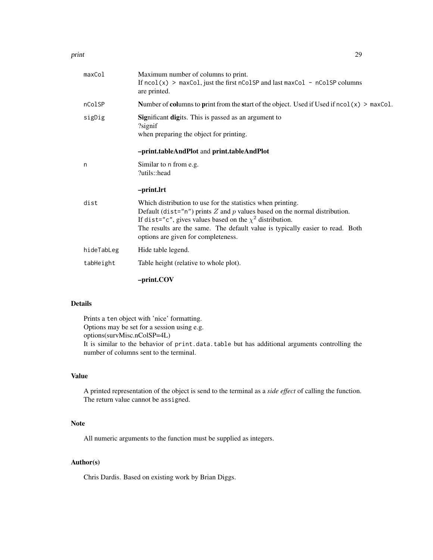#### print 29

| maxCol     | Maximum number of columns to print.<br>If $\text{ncol}(x)$ > maxCol, just the first $\text{ncolSP}$ and last maxCol - $\text{ncolSP}$ columns<br>are printed.                                                                                                                                                                          |
|------------|----------------------------------------------------------------------------------------------------------------------------------------------------------------------------------------------------------------------------------------------------------------------------------------------------------------------------------------|
| nColSP     | Number of columns to print from the start of the object. Used if Used if $\text{ncol}(x)$ > maxCol.                                                                                                                                                                                                                                    |
| sigDig     | Significant digits. This is passed as an argument to<br>?signif<br>when preparing the object for printing.                                                                                                                                                                                                                             |
|            | -print.tableAndPlot and print.tableAndPlot                                                                                                                                                                                                                                                                                             |
| n          | Similar to n from e.g.<br>?utils::head                                                                                                                                                                                                                                                                                                 |
|            | -print.lrt                                                                                                                                                                                                                                                                                                                             |
| dist       | Which distribution to use for the statistics when printing.<br>Default (dist="n") prints $Z$ and $p$ values based on the normal distribution.<br>If dist="c", gives values based on the $\chi^2$ distribution.<br>The results are the same. The default value is typically easier to read. Both<br>options are given for completeness. |
| hideTabLeg | Hide table legend.                                                                                                                                                                                                                                                                                                                     |
| tabHeight  | Table height (relative to whole plot).                                                                                                                                                                                                                                                                                                 |
|            | -print.COV                                                                                                                                                                                                                                                                                                                             |

# Details

Prints a ten object with 'nice' formatting. Options may be set for a session using e.g. options(survMisc.nColSP=4L) It is similar to the behavior of print.data.table but has additional arguments controlling the number of columns sent to the terminal.

# Value

A printed representation of the object is send to the terminal as a *side effect* of calling the function. The return value cannot be assigned.

#### Note

All numeric arguments to the function must be supplied as integers.

# Author(s)

Chris Dardis. Based on existing work by Brian Diggs.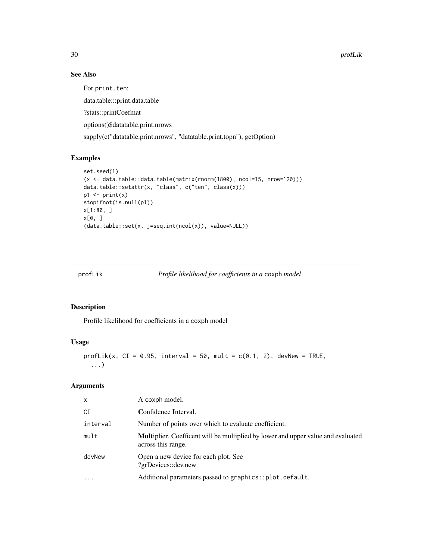# See Also

For print.ten:

data.table:::print.data.table

?stats::printCoefmat

options()\$datatable.print.nrows

sapply(c("datatable.print.nrows", "datatable.print.topn"), getOption)

# Examples

```
set.seed(1)
(x <- data.table::data.table(matrix(rnorm(1800), ncol=15, nrow=120)))
data.table::setattr(x, "class", c("ten", class(x)))
p1 \leftarrow print(x)stopifnot(is.null(p1))
x[1:80, ]
x[0, ]
(data.table::set(x, j=seq.int(ncol(x)), value=NULL))
```

```
profLik Profile likelihood for coefficients in a coxph model
```
# Description

Profile likelihood for coefficients in a coxph model

# Usage

```
profLik(x, CI = 0.95, interval = 50, mult = c(0.1, 2), devNew = TRUE,
  ...)
```

| x        | A coxph model.                                                                                                |
|----------|---------------------------------------------------------------------------------------------------------------|
| СI       | Confidence Interval.                                                                                          |
| interval | Number of points over which to evaluate coefficient.                                                          |
| mult     | <b>Multiplier.</b> Coefficent will be multiplied by lower and upper value and evaluated<br>across this range. |
| devNew   | Open a new device for each plot. See<br>?grDevices::dev.new                                                   |
| $\cdots$ | Additional parameters passed to graphics::plot.default.                                                       |

<span id="page-29-0"></span>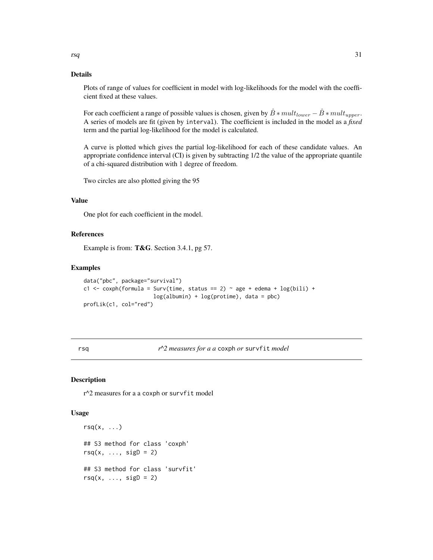# <span id="page-30-0"></span>Details

Plots of range of values for coefficient in model with log-likelihoods for the model with the coefficient fixed at these values.

For each coefficient a range of possible values is chosen, given by  $\hat{B} * mult_{lower} - \hat{B} * mult_{upper}$ . A series of models are fit (given by interval). The coefficient is included in the model as a *fixed* term and the partial log-likelihood for the model is calculated.

A curve is plotted which gives the partial log-likelihood for each of these candidate values. An appropriate confidence interval (CI) is given by subtracting 1/2 the value of the appropriate quantile of a chi-squared distribution with 1 degree of freedom.

Two circles are also plotted giving the 95

# Value

One plot for each coefficient in the model.

# References

Example is from: T&G. Section 3.4.1, pg 57.

# Examples

```
data("pbc", package="survival")
c1 <- coxph(formula = Surv(time, status == 2) ~ age + edema + log(bili) +
                      log(albumin) + log(portione), data = pbc)
profLik(c1, col="red")
```
rsq *r^2 measures for a a* coxph *or* survfit *model*

#### Description

r^2 measures for a a coxph or survfit model

#### Usage

```
rsq(x, \ldots)## S3 method for class 'coxph'
rsq(x, \ldots, sigD = 2)## S3 method for class 'survfit'
rsq(x, \ldots, sigD = 2)
```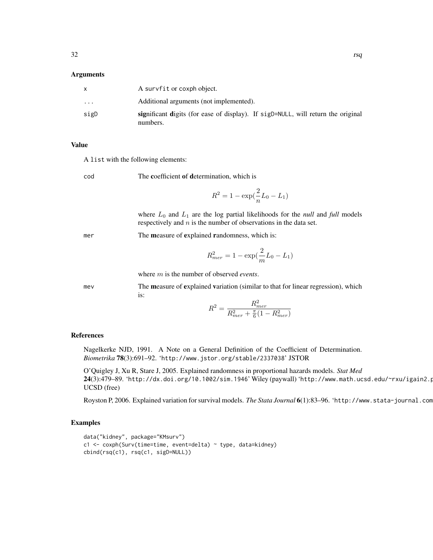# Arguments

|                         | A survfit or coxph object.                                                                   |
|-------------------------|----------------------------------------------------------------------------------------------|
| $\cdot$ $\cdot$ $\cdot$ | Additional arguments (not implemented).                                                      |
| sigD                    | significant digits (for ease of display). If sigD=NULL, will return the original<br>numbers. |

#### Value

A list with the following elements:

cod The coefficient of determination, which is

$$
R^2 = 1 - \exp(\frac{2}{n}L_0 - L_1)
$$

where  $L_0$  and  $L_1$  are the log partial likelihoods for the *null* and *full* models respectively and  $n$  is the number of observations in the data set.

mer The measure of explained randomness, which is:

$$
R_{mer}^2 = 1 - \exp(\frac{2}{m}L_0 - L_1)
$$

where m is the number of observed *events*.

mev The measure of explained variation (similar to that for linear regression), which is:

$$
R^{2} = \frac{R_{mer}^{2}}{R_{mer}^{2} + \frac{\pi}{6}(1 - R_{mer}^{2})}
$$

# References

Nagelkerke NJD, 1991. A Note on a General Definition of the Coefficient of Determination. *Biometrika* 78(3):691–92. 'http://www.jstor.org/stable/2337038' JSTOR

O'Quigley J, Xu R, Stare J, 2005. Explained randomness in proportional hazards models. *Stat Med* 24(3):479–89. 'http://dx.doi.org/10.1002/sim.1946' Wiley (paywall) 'http://www.math.ucsd.edu/~rxu/igain2.p UCSD (free)

Royston P, 2006. Explained variation for survival models. *The Stata Journal* 6(1):83-96. 'http://www.stata-journal.com

# Examples

```
data("kidney", package="KMsurv")
c1 <- coxph(Surv(time=time, event=delta) ~ type, data=kidney)
cbind(rsq(c1), rsq(c1, sigD=NULL))
```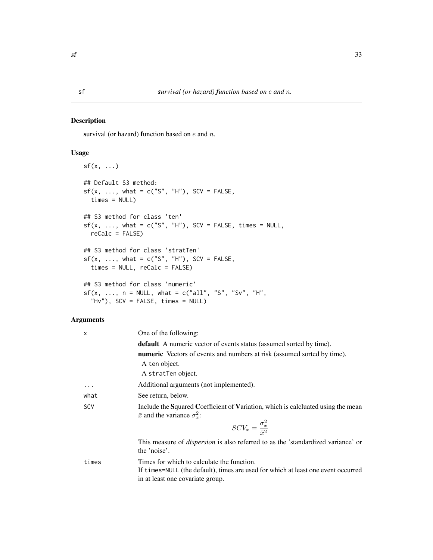# <span id="page-32-1"></span><span id="page-32-0"></span>Description

survival (or hazard) function based on  $e$  and  $n$ .

# Usage

```
sf(x, \ldots)## Default S3 method:
sf(x, ..., what = c("S", "H"), SCV = FALSE,times = NULL)
## S3 method for class 'ten'
sf(x, ..., what = c("S", "H"), SCV = FALSE, times = NULL,reCalc = FALSE)
## S3 method for class 'stratTen'
sf(x, ..., what = c("S", "H"), SCV = FALSE,times = NULL, reCalc = FALSE)
## S3 method for class 'numeric'
sf(x, ..., n = NULL, what = c("all", "S", "Sv", "H","Hv"), SCV = FALSE, times = NULL)
```

| X        | One of the following:                                                                                                                                               |
|----------|---------------------------------------------------------------------------------------------------------------------------------------------------------------------|
|          | <b>default</b> A numeric vector of events status (assumed sorted by time).                                                                                          |
|          | <b>numeric</b> Vectors of events and numbers at risk (assumed sorted by time).                                                                                      |
|          | A ten object.                                                                                                                                                       |
|          | A stratTen object.                                                                                                                                                  |
| $\ddots$ | Additional arguments (not implemented).                                                                                                                             |
| what     | See return, below.                                                                                                                                                  |
| SCV      | Include the Squared Coefficient of Variation, which is calcluated using the mean<br>$\bar{x}$ and the variance $\sigma_x^2$ .                                       |
|          | $\label{eq:SCV} SCV_x = \frac{\sigma_x^2}{\bar{r}^2}$                                                                                                               |
|          | This measure of <i>dispersion</i> is also referred to as the 'standardized variance' or<br>the 'noise'.                                                             |
| times    | Times for which to calculate the function.<br>If times=NULL (the default), times are used for which at least one event occurred<br>in at least one covariate group. |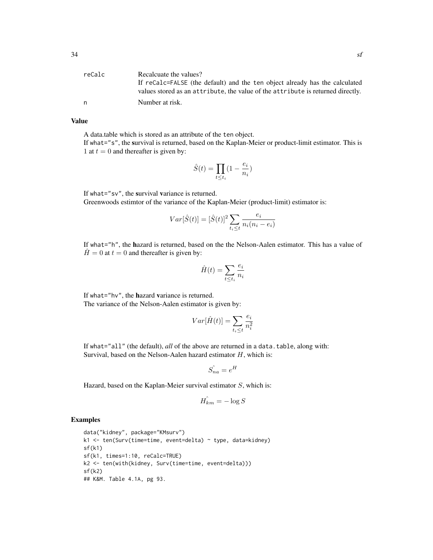| reCalc | Recalcuate the values?                                                          |
|--------|---------------------------------------------------------------------------------|
|        | If recalc=FALSE (the default) and the ten object already has the calculated     |
|        | values stored as an attribute, the value of the attribute is returned directly. |
| n      | Number at risk.                                                                 |

#### Value

A data.table which is stored as an attribute of the ten object.

If what="s", the survival is returned, based on the Kaplan-Meier or product-limit estimator. This is 1 at  $t = 0$  and thereafter is given by:

$$
\hat{S}(t) = \prod_{t \le t_i} (1 - \frac{e_i}{n_i})
$$

If what="sv", the survival variance is returned.

Greenwoods estimtor of the variance of the Kaplan-Meier (product-limit) estimator is:

$$
Var[\hat{S}(t)] = [\hat{S}(t)]^2 \sum_{t_i \le t} \frac{e_i}{n_i(n_i - e_i)}
$$

If what="h", the hazard is returned, based on the the Nelson-Aalen estimator. This has a value of  $\hat{H} = 0$  at  $t = 0$  and thereafter is given by:

$$
\hat{H}(t) = \sum_{t \le t_i} \frac{e_i}{n_i}
$$

If what="hv", the hazard variance is returned. The variance of the Nelson-Aalen estimator is given by:

$$
Var[\hat{H}(t)] = \sum_{t_i \le t} \frac{e_i}{n_i^2}
$$

If what="all" (the default), *all* of the above are returned in a data.table, along with: Survival, based on the Nelson-Aalen hazard estimator  $H$ , which is:

$$
\hat{S_{na}} = e^H
$$

Hazard, based on the Kaplan-Meier survival estimator  $S$ , which is:

$$
\hat{H_{km}} = -\log S
$$

#### Examples

```
data("kidney", package="KMsurv")
k1 <- ten(Surv(time=time, event=delta) ~ type, data=kidney)
sf(k1)
sf(k1, times=1:10, reCalc=TRUE)
k2 <- ten(with(kidney, Surv(time=time, event=delta)))
sf(k2)
## K&M. Table 4.1A, pg 93.
```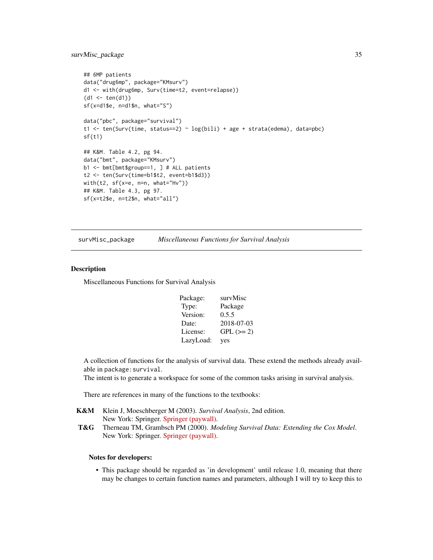# <span id="page-34-0"></span>survMisc\_package 35

```
## 6MP patients
data("drug6mp", package="KMsurv")
d1 <- with(drug6mp, Surv(time=t2, event=relapse))
(d1 < -ten(d1))sf(x=d1$e, n=d1$n, what="S")
data("pbc", package="survival")
t1 <- ten(Surv(time, status==2) ~ log(bili) + age + strata(edema), data=pbc)
sf(t1)
## K&M. Table 4.2, pg 94.
data("bmt", package="KMsurv")
b1 <- bmt[bmt$group==1, ] # ALL patients
t2 <- ten(Surv(time=b1$t2, event=b1$d3))
with(t2, sf(x=e, n=n, what="Hv"))
## K&M. Table 4.3, pg 97.
sf(x=t2$e, n=t2$n, what="all")
```
survMisc\_package *Miscellaneous Functions for Survival Analysis*

#### Description

Miscellaneous Functions for Survival Analysis

| survMisc    |
|-------------|
| Package     |
| 0.5.5       |
| 2018-07-03  |
| $GPL (= 2)$ |
| yes         |
|             |

A collection of functions for the analysis of survival data. These extend the methods already available in package:survival.

The intent is to generate a workspace for some of the common tasks arising in survival analysis.

There are references in many of the functions to the textbooks:

| <b>K&amp;M</b> Klein J, Moeschberger M (2003). Survival Analysis, 2nd edition. |
|--------------------------------------------------------------------------------|
| New York: Springer. Springer (paywall).                                        |

T&G Therneau TM, Grambsch PM (2000). *Modeling Survival Data: Extending the Cox Model*. New York: Springer. [Springer \(paywall\).](http://dx.doi.org/10.1007/978-1-4757-3294-8)

#### Notes for developers:

• This package should be regarded as 'in development' until release 1.0, meaning that there may be changes to certain function names and parameters, although I will try to keep this to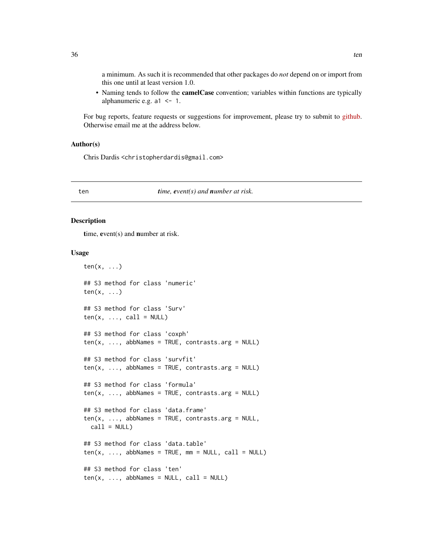<span id="page-35-0"></span>a minimum. As such it is recommended that other packages do *not* depend on or import from this one until at least version 1.0.

• Naming tends to follow the camelCase convention; variables within functions are typically alphanumeric e.g.  $a1 \le -1$ .

For bug reports, feature requests or suggestions for improvement, please try to submit to [github.](https://github.com/dardisco/survMisc/issues) Otherwise email me at the address below.

# Author(s)

Chris Dardis <christopherdardis@gmail.com>

#### ten *time, event(s) and number at risk.*

# Description

time, event(s) and number at risk.

# Usage

```
ten(x, \ldots)## S3 method for class 'numeric'
ten(x, \ldots)## S3 method for class 'Surv'
ten(x, ..., call = NULL)## S3 method for class 'coxph'
ten(x, ..., abbNames = TRUE, contrasts.argv = NULL)## S3 method for class 'survfit'
ten(x, ..., abbNames = TRUE, contrasts.argv = NULL)## S3 method for class 'formula'
ten(x, ..., abbNames = TRUE, contrasts.argv = NULL)## S3 method for class 'data.frame'
ten(x, \ldots, abbNames = TRUE, contrasts.argv = NULL,call = NULL)## S3 method for class 'data.table'
ten(x, ..., abbNames = TRUE, mm = NULL, call = NULL)## S3 method for class 'ten'
ten(x, ..., abbNames = NULL, call = NULL)
```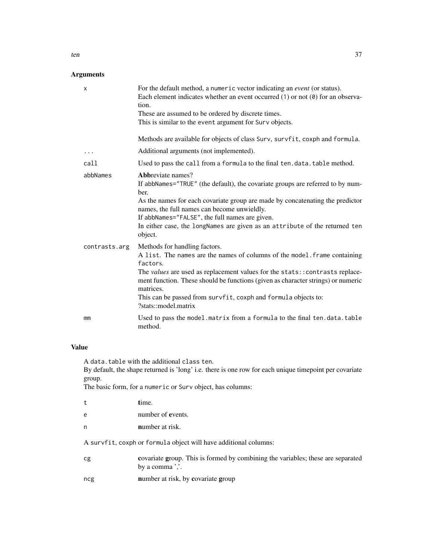# Arguments

| x             | For the default method, a numeric vector indicating an <i>event</i> (or status).<br>Each element indicates whether an event occurred $(1)$ or not $(0)$ for an observa-<br>tion.<br>These are assumed to be ordered by discrete times.<br>This is similar to the event argument for Surv objects.                                                                                                 |
|---------------|---------------------------------------------------------------------------------------------------------------------------------------------------------------------------------------------------------------------------------------------------------------------------------------------------------------------------------------------------------------------------------------------------|
|               | Methods are available for objects of class Surv, survfit, coxph and formula.                                                                                                                                                                                                                                                                                                                      |
| .             | Additional arguments (not implemented).                                                                                                                                                                                                                                                                                                                                                           |
| call          | Used to pass the call from a formula to the final ten.data.table method.                                                                                                                                                                                                                                                                                                                          |
| abbNames      | Abbreviate names?<br>If abbNames="TRUE" (the default), the covariate groups are referred to by num-<br>ber.<br>As the names for each covariate group are made by concatenating the predictor<br>names, the full names can become unwieldly.<br>If abbNames="FALSE", the full names are given.<br>In either case, the longNames are given as an attribute of the returned ten<br>object.           |
| contrasts.arg | Methods for handling factors.<br>A list. The names are the names of columns of the model. frame containing<br>factors.<br>The values are used as replacement values for the stats:: contrasts replace-<br>ment function. These should be functions (given as character strings) or numeric<br>matrices.<br>This can be passed from survfit, coxph and formula objects to:<br>?stats::model.matrix |
| mm            | Used to pass the model.matrix from a formula to the final ten.data.table<br>method.                                                                                                                                                                                                                                                                                                               |

# Value

A data.table with the additional class ten.

By default, the shape returned is 'long' i.e. there is one row for each unique timepoint per covariate group.

The basic form, for a numeric or Surv object, has columns:

| t | time.                                                            |
|---|------------------------------------------------------------------|
| e | number of events.                                                |
| n | number at risk.                                                  |
|   | A survfit, coxph or formula object will have additional columns: |

| Сg | covariate group. This is formed by combining the variables; these are separated |
|----|---------------------------------------------------------------------------------|
|    | by a comma $\cdot$ .                                                            |

ncg number at risk, by covariate group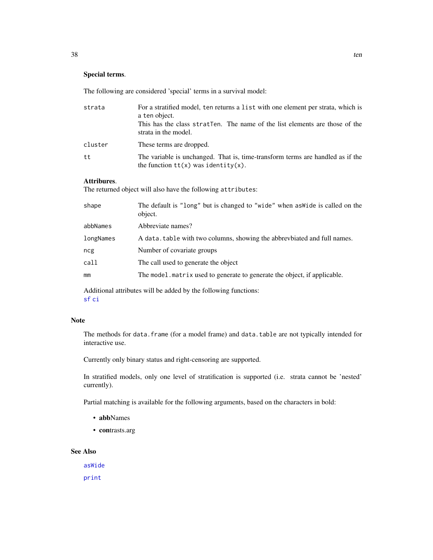# <span id="page-37-0"></span>Special terms.

The following are considered 'special' terms in a survival model:

| strata  | For a stratified model, ten returns a list with one element per strata, which is<br>a ten object.<br>This has the class strater. The name of the list elements are those of the<br>strata in the model. |
|---------|---------------------------------------------------------------------------------------------------------------------------------------------------------------------------------------------------------|
| cluster | These terms are dropped.                                                                                                                                                                                |
| tt      | The variable is unchanged. That is, time-transform terms are handled as if the<br>the function $tt(x)$ was identity(x).                                                                                 |

# Attribures.

The returned object will also have the following attributes:

| shape     | The default is "long" but is changed to "wide" when as wide is called on the<br>object. |
|-----------|-----------------------------------------------------------------------------------------|
| abbNames  | Abbreviate names?                                                                       |
| longNames | A data, table with two columns, showing the abbrevbiated and full names.                |
| ncg       | Number of covariate groups                                                              |
| call      | The call used to generate the object                                                    |
| mm        | The model matrix used to generate to generate the object, if applicable.                |
|           |                                                                                         |

Additional attributes will be added by the following functions: [sf](#page-32-1) [ci](#page-8-1)

### Note

The methods for data.frame (for a model frame) and data.table are not typically intended for interactive use.

Currently only binary status and right-censoring are supported.

In stratified models, only one level of stratification is supported (i.e. strata cannot be 'nested' currently).

Partial matching is available for the following arguments, based on the characters in bold:

- abbNames
- contrasts.arg

# See Also

[asWide](#page-1-1) [print](#page-27-2)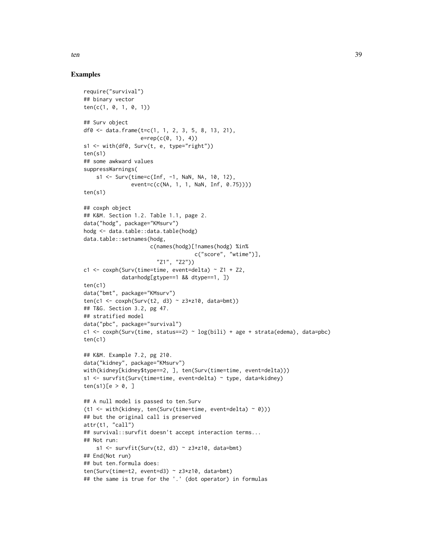# Examples

```
require("survival")
## binary vector
ten(c(1, 0, 1, 0, 1))
## Surv object
df0 <- data.frame(t=c(1, 1, 2, 3, 5, 8, 13, 21),
                  e = rep(c(0, 1), 4)s1 <- with(df0, Surv(t, e, type="right"))
ten(s1)
## some awkward values
suppressWarnings(
    s1 <- Surv(time=c(Inf, -1, NaN, NA, 10, 12),
               event=c(c(NA, 1, 1, NaN, Inf, 0.75))))
ten(s1)
## coxph object
## K&M. Section 1.2. Table 1.1, page 2.
data("hodg", package="KMsurv")
hodg <- data.table::data.table(hodg)
data.table::setnames(hodg,
                     c(names(hodg)[!names(hodg) %in%
                                   c("score", "wtime")],
                       "Z1", "Z2"))
c1 <- coxph(Surv(time=time, event=delta) \sim Z1 + Z2,
            data=hodg[gtype==1 && dtype==1, ])
ten(c1)
data("bmt", package="KMsurv")
ten(c1 <- coxph(Surv(t2, d3) ~ z3*z10, data=bmt))
## T&G. Section 3.2, pg 47.
## stratified model
data("pbc", package="survival")
c1 <- coxph(Surv(time, status==2) ~ log(bili) + age + strata(edema), data=pbc)
ten(c1)
## K&M. Example 7.2, pg 210.
data("kidney", package="KMsurv")
with(kidney[kidney$type==2, ], ten(Surv(time=time, event=delta)))
s1 <- survfit(Surv(time=time, event=delta) ~ type, data=kidney)
ten(s1)[e > 0, ]## A null model is passed to ten.Surv
(t1 <- with(kidney, ten(Surv(time=time, event=delta) ~ 0)))
## but the original call is preserved
attr(t1, "call")
## survival::survfit doesn't accept interaction terms...
## Not run:
    s1 <- survfit(Surv(t2, d3) ~ z3*z10, data=bmt)
## End(Not run)
## but ten.formula does:
ten(Surv(time=t2, event=d3) ~ z3*z10, data=bmt)
## the same is true for the '.' (dot operator) in formulas
```
ten 39 auch dem 2008 et de la contradicte de la contradicte de la contradicte de la contradicte de la contradicte de la contradicte de la contradicte de la contradicte de la contradicte de la contradicte de la contradicte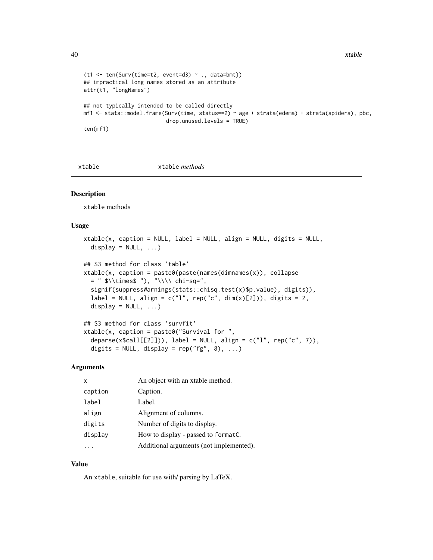```
(t1 <- ten(Surv(time=t2, event=d3) ~ ., data=bmt))
## impractical long names stored as an attribute
attr(t1, "longNames")
## not typically intended to be called directly
mf1 <- stats::model.frame(Surv(time, status==2) ~ age + strata(edema) + strata(spiders), pbc,
                          drop.unused.levels = TRUE)
ten(mf1)
```
xtable xtable *methods*

#### Description

xtable methods

#### Usage

```
xtable(x, caption = NULL, label = NULL, align = NULL, digits = NULL,
  display = NULL, ...)## S3 method for class 'table'
xtable(x, caption = paste@(past@names(dimnames(x)), collapse= " \lvert \frac{\cdot}{\cdot} \rvert"\\\\ chi-sq=",
  signif(suppressWarnings(stats::chisq.test(x)$p.value), digits)),
  label = NULL, align = c("l", rep("c", dim(x)[2])), digits = 2,
  display = NULL, ...)
```

```
## S3 method for class 'survfit'
xtable(x, caption = paste0("Survival for "deparse(x$call[[2]])), label = NULL, align = c("l", rep("c", 7)),digits = NULL, display = rep("fg", 8), ...
```
# Arguments

| X       | An object with an xtable method.        |
|---------|-----------------------------------------|
| caption | Caption.                                |
| label   | Label.                                  |
| align   | Alignment of columns.                   |
| digits  | Number of digits to display.            |
| display | How to display - passed to format.      |
|         | Additional arguments (not implemented). |

# Value

An xtable, suitable for use with/ parsing by LaTeX.

<span id="page-39-0"></span>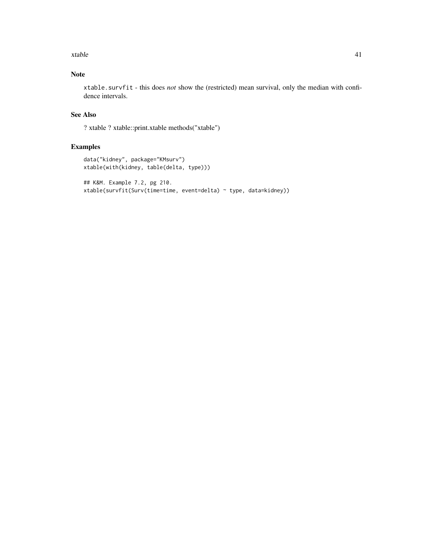xtable 41

# Note

xtable.survfit - this does *not* show the (restricted) mean survival, only the median with confidence intervals.

# See Also

? xtable ? xtable::print.xtable methods("xtable")

# Examples

```
data("kidney", package="KMsurv")
xtable(with(kidney, table(delta, type)))
## K&M. Example 7.2, pg 210.
```

```
xtable(survfit(Surv(time=time, event=delta) ~ type, data=kidney))
```